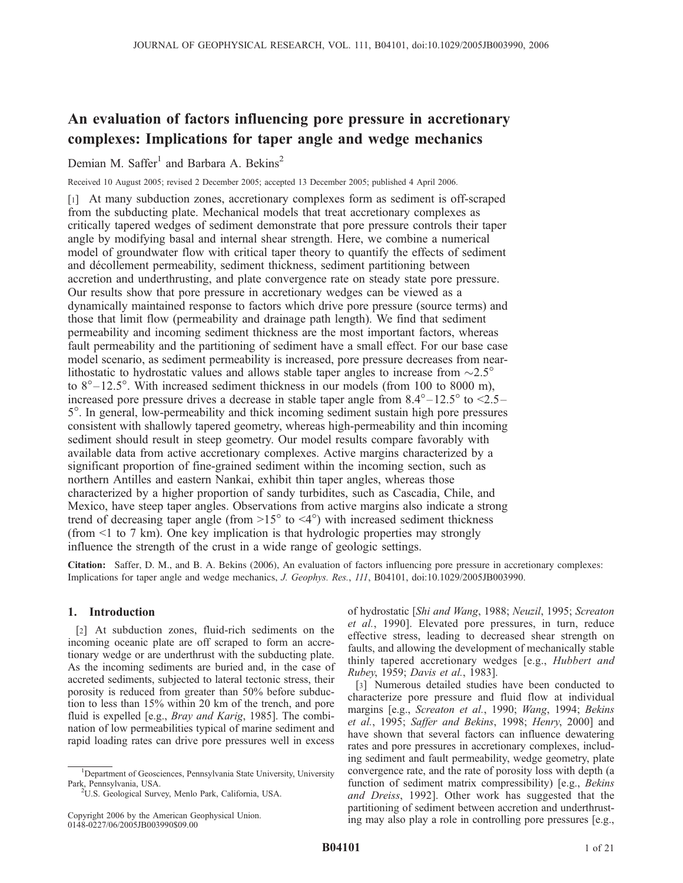# An evaluation of factors influencing pore pressure in accretionary complexes: Implications for taper angle and wedge mechanics

Demian M. Saffer<sup>1</sup> and Barbara A. Bekins<sup>2</sup>

Received 10 August 2005; revised 2 December 2005; accepted 13 December 2005; published 4 April 2006.

[1] At many subduction zones, accretionary complexes form as sediment is off-scraped from the subducting plate. Mechanical models that treat accretionary complexes as critically tapered wedges of sediment demonstrate that pore pressure controls their taper angle by modifying basal and internal shear strength. Here, we combine a numerical model of groundwater flow with critical taper theory to quantify the effects of sediment and décollement permeability, sediment thickness, sediment partitioning between accretion and underthrusting, and plate convergence rate on steady state pore pressure. Our results show that pore pressure in accretionary wedges can be viewed as a dynamically maintained response to factors which drive pore pressure (source terms) and those that limit flow (permeability and drainage path length). We find that sediment permeability and incoming sediment thickness are the most important factors, whereas fault permeability and the partitioning of sediment have a small effect. For our base case model scenario, as sediment permeability is increased, pore pressure decreases from nearlithostatic to hydrostatic values and allows stable taper angles to increase from  $\sim$ 2.5 $^{\circ}$ to  $8^{\circ}$ –12.5°. With increased sediment thickness in our models (from 100 to 8000 m), increased pore pressure drives a decrease in stable taper angle from  $8.4^{\circ} - 12.5^{\circ}$  to  $\leq 2.5-$ 5. In general, low-permeability and thick incoming sediment sustain high pore pressures consistent with shallowly tapered geometry, whereas high-permeability and thin incoming sediment should result in steep geometry. Our model results compare favorably with available data from active accretionary complexes. Active margins characterized by a significant proportion of fine-grained sediment within the incoming section, such as northern Antilles and eastern Nankai, exhibit thin taper angles, whereas those characterized by a higher proportion of sandy turbidites, such as Cascadia, Chile, and Mexico, have steep taper angles. Observations from active margins also indicate a strong trend of decreasing taper angle (from  $>15^{\circ}$  to  $\leq 4^{\circ}$ ) with increased sediment thickness (from <1 to 7 km). One key implication is that hydrologic properties may strongly influence the strength of the crust in a wide range of geologic settings.

Citation: Saffer, D. M., and B. A. Bekins (2006), An evaluation of factors influencing pore pressure in accretionary complexes: Implications for taper angle and wedge mechanics, J. Geophys. Res., 111, B04101, doi:10.1029/2005JB003990.

# 1. Introduction

[2] At subduction zones, fluid-rich sediments on the incoming oceanic plate are off scraped to form an accretionary wedge or are underthrust with the subducting plate. As the incoming sediments are buried and, in the case of accreted sediments, subjected to lateral tectonic stress, their porosity is reduced from greater than 50% before subduction to less than 15% within 20 km of the trench, and pore fluid is expelled [e.g., Bray and Karig, 1985]. The combination of low permeabilities typical of marine sediment and rapid loading rates can drive pore pressures well in excess

of hydrostatic [Shi and Wang, 1988; Neuzil, 1995; Screaton et al., 1990]. Elevated pore pressures, in turn, reduce effective stress, leading to decreased shear strength on faults, and allowing the development of mechanically stable thinly tapered accretionary wedges [e.g., Hubbert and Rubey, 1959; Davis et al., 1983].

[3] Numerous detailed studies have been conducted to characterize pore pressure and fluid flow at individual margins [e.g., Screaton et al., 1990; Wang, 1994; Bekins et al., 1995; Saffer and Bekins, 1998; Henry, 2000] and have shown that several factors can influence dewatering rates and pore pressures in accretionary complexes, including sediment and fault permeability, wedge geometry, plate convergence rate, and the rate of porosity loss with depth (a function of sediment matrix compressibility) [e.g., *Bekins*] and Dreiss, 1992]. Other work has suggested that the partitioning of sediment between accretion and underthrusting may also play a role in controlling pore pressures [e.g.,

<sup>&</sup>lt;sup>1</sup>Department of Geosciences, Pennsylvania State University, University Park, Pennsylvania, USA. <sup>2</sup> U.S. Geological Survey, Menlo Park, California, USA.

Copyright 2006 by the American Geophysical Union. 0148-0227/06/2005JB003990\$09.00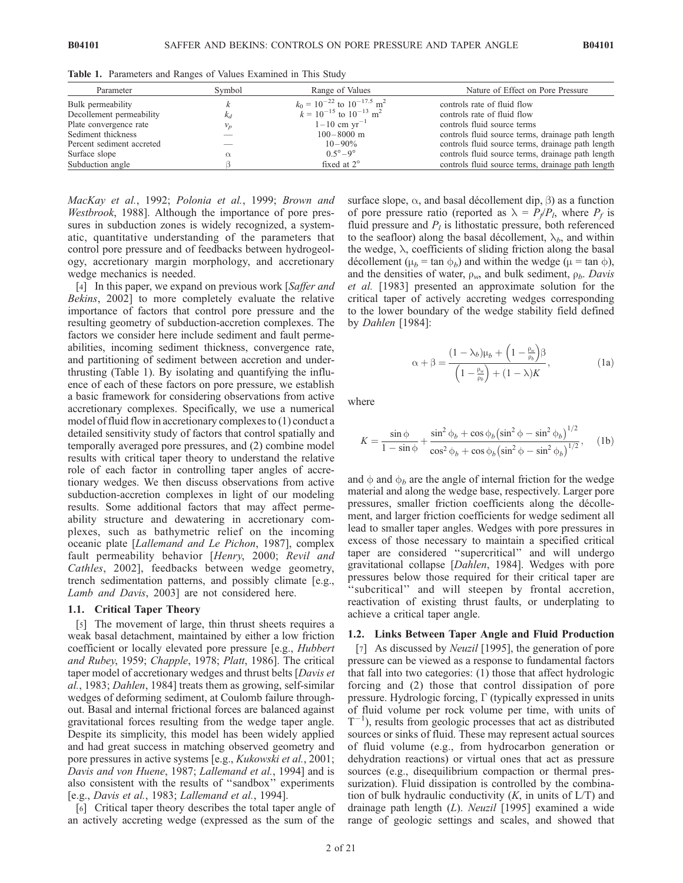| Parameter                 | Symbol | Range of Values                                 | Nature of Effect on Pore Pressure                 |
|---------------------------|--------|-------------------------------------------------|---------------------------------------------------|
| Bulk permeability         |        | $k_0 = 10^{-22}$ to $10^{-17.5}$ m <sup>2</sup> | controls rate of fluid flow                       |
| Decollement permeability  | $k_d$  | $k = 10^{-15}$ to $10^{-13}$ m <sup>2</sup>     | controls rate of fluid flow                       |
| Plate convergence rate    | $v_p$  | $1 - 10$ cm $yr^{-1}$                           | controls fluid source terms                       |
| Sediment thickness        |        | $100 - 8000$ m                                  | controls fluid source terms, drainage path length |
| Percent sediment accreted |        | $10 - 90\%$                                     | controls fluid source terms, drainage path length |
| Surface slope             |        | $0.5^{\circ} - 9^{\circ}$                       | controls fluid source terms, drainage path length |
| Subduction angle          |        | fixed at $2^{\circ}$                            | controls fluid source terms, drainage path length |

Table 1. Parameters and Ranges of Values Examined in This Study

MacKay et al., 1992; Polonia et al., 1999; Brown and Westbrook, 1988]. Although the importance of pore pressures in subduction zones is widely recognized, a systematic, quantitative understanding of the parameters that control pore pressure and of feedbacks between hydrogeology, accretionary margin morphology, and accretionary wedge mechanics is needed.

[4] In this paper, we expand on previous work [Saffer and Bekins, 2002] to more completely evaluate the relative importance of factors that control pore pressure and the resulting geometry of subduction-accretion complexes. The factors we consider here include sediment and fault permeabilities, incoming sediment thickness, convergence rate, and partitioning of sediment between accretion and underthrusting (Table 1). By isolating and quantifying the influence of each of these factors on pore pressure, we establish a basic framework for considering observations from active accretionary complexes. Specifically, we use a numerical model of fluid flow in accretionary complexes to (1) conduct a detailed sensitivity study of factors that control spatially and temporally averaged pore pressures, and (2) combine model results with critical taper theory to understand the relative role of each factor in controlling taper angles of accretionary wedges. We then discuss observations from active subduction-accretion complexes in light of our modeling results. Some additional factors that may affect permeability structure and dewatering in accretionary complexes, such as bathymetric relief on the incoming oceanic plate [Lallemand and Le Pichon, 1987], complex fault permeability behavior [Henry, 2000; Revil and Cathles, 2002], feedbacks between wedge geometry, trench sedimentation patterns, and possibly climate [e.g., Lamb and Davis, 2003] are not considered here.

#### 1.1. Critical Taper Theory

[5] The movement of large, thin thrust sheets requires a weak basal detachment, maintained by either a low friction coefficient or locally elevated pore pressure [e.g., Hubbert and Rubey, 1959; Chapple, 1978; Platt, 1986]. The critical taper model of accretionary wedges and thrust belts [Davis et al., 1983; Dahlen, 1984] treats them as growing, self-similar wedges of deforming sediment, at Coulomb failure throughout. Basal and internal frictional forces are balanced against gravitational forces resulting from the wedge taper angle. Despite its simplicity, this model has been widely applied and had great success in matching observed geometry and pore pressures in active systems [e.g., Kukowski et al., 2001; Davis and von Huene, 1987; Lallemand et al., 1994] and is also consistent with the results of ''sandbox'' experiments [e.g., Davis et al., 1983; Lallemand et al., 1994].

[6] Critical taper theory describes the total taper angle of an actively accreting wedge (expressed as the sum of the

surface slope,  $\alpha$ , and basal décollement dip,  $\beta$ ) as a function of pore pressure ratio (reported as  $\lambda = P_f/P_i$ , where  $P_f$  is fluid pressure and  $P_l$  is lithostatic pressure, both referenced to the seafloor) along the basal décollement,  $\lambda_b$ , and within the wedge,  $\lambda$ , coefficients of sliding friction along the basal décollement ( $\mu_b$  = tan  $\phi_b$ ) and within the wedge ( $\mu$  = tan  $\phi$ ), and the densities of water,  $\rho_w$ , and bulk sediment,  $\rho_b$ . Davis et al. [1983] presented an approximate solution for the critical taper of actively accreting wedges corresponding to the lower boundary of the wedge stability field defined by Dahlen [1984]:

$$
\alpha + \beta = \frac{(1 - \lambda_b)\mu_b + \left(1 - \frac{\rho_w}{\rho_b}\right)\beta}{\left(1 - \frac{\rho_w}{\rho_b}\right) + (1 - \lambda)K},
$$
\n(1a)

where

$$
K = \frac{\sin \phi}{1 - \sin \phi} + \frac{\sin^2 \phi_b + \cos \phi_b (\sin^2 \phi - \sin^2 \phi_b)^{1/2}}{\cos^2 \phi_b + \cos \phi_b (\sin^2 \phi - \sin^2 \phi_b)^{1/2}},
$$
 (1b)

and  $\phi$  and  $\phi_b$  are the angle of internal friction for the wedge material and along the wedge base, respectively. Larger pore pressures, smaller friction coefficients along the décollement, and larger friction coefficients for wedge sediment all lead to smaller taper angles. Wedges with pore pressures in excess of those necessary to maintain a specified critical taper are considered ''supercritical'' and will undergo gravitational collapse [Dahlen, 1984]. Wedges with pore pressures below those required for their critical taper are 'subcritical'' and will steepen by frontal accretion, reactivation of existing thrust faults, or underplating to achieve a critical taper angle.

#### 1.2. Links Between Taper Angle and Fluid Production

[7] As discussed by *Neuzil* [1995], the generation of pore pressure can be viewed as a response to fundamental factors that fall into two categories: (1) those that affect hydrologic forcing and (2) those that control dissipation of pore pressure. Hydrologic forcing,  $\Gamma$  (typically expressed in units of fluid volume per rock volume per time, with units of  $T^{-1}$ ), results from geologic processes that act as distributed sources or sinks of fluid. These may represent actual sources of fluid volume (e.g., from hydrocarbon generation or dehydration reactions) or virtual ones that act as pressure sources (e.g., disequilibrium compaction or thermal pressurization). Fluid dissipation is controlled by the combination of bulk hydraulic conductivity  $(K, \text{ in units of } L/T)$  and drainage path length (L). Neuzil [1995] examined a wide range of geologic settings and scales, and showed that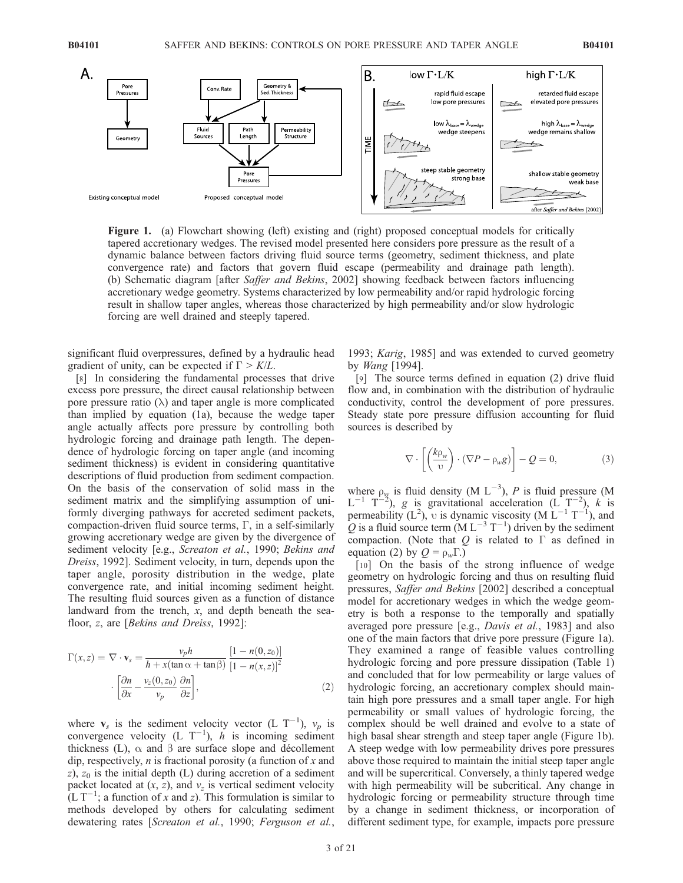

Figure 1. (a) Flowchart showing (left) existing and (right) proposed conceptual models for critically tapered accretionary wedges. The revised model presented here considers pore pressure as the result of a dynamic balance between factors driving fluid source terms (geometry, sediment thickness, and plate convergence rate) and factors that govern fluid escape (permeability and drainage path length). (b) Schematic diagram [after Saffer and Bekins, 2002] showing feedback between factors influencing accretionary wedge geometry. Systems characterized by low permeability and/or rapid hydrologic forcing result in shallow taper angles, whereas those characterized by high permeability and/or slow hydrologic forcing are well drained and steeply tapered.

significant fluid overpressures, defined by a hydraulic head gradient of unity, can be expected if  $\Gamma > K/L$ .

[8] In considering the fundamental processes that drive excess pore pressure, the direct causal relationship between pore pressure ratio  $(\lambda)$  and taper angle is more complicated than implied by equation (1a), because the wedge taper angle actually affects pore pressure by controlling both hydrologic forcing and drainage path length. The dependence of hydrologic forcing on taper angle (and incoming sediment thickness) is evident in considering quantitative descriptions of fluid production from sediment compaction. On the basis of the conservation of solid mass in the sediment matrix and the simplifying assumption of uniformly diverging pathways for accreted sediment packets, compaction-driven fluid source terms,  $\Gamma$ , in a self-similarly growing accretionary wedge are given by the divergence of sediment velocity [e.g., Screaton et al., 1990; Bekins and Dreiss, 1992]. Sediment velocity, in turn, depends upon the taper angle, porosity distribution in the wedge, plate convergence rate, and initial incoming sediment height. The resulting fluid sources given as a function of distance landward from the trench,  $x$ , and depth beneath the seafloor, z, are [Bekins and Dreiss, 1992]:

$$
\Gamma(x, z) = \nabla \cdot \mathbf{v}_s = \frac{v_p h}{h + x(\tan \alpha + \tan \beta)} \frac{[1 - n(0, z_0)]}{[1 - n(x, z)]^2}
$$

$$
\cdot \left[ \frac{\partial n}{\partial x} - \frac{v_z(0, z_0)}{v_p} \frac{\partial n}{\partial z} \right],
$$
(2)

where  $v_s$  is the sediment velocity vector (L T<sup>-1</sup>),  $v_p$  is convergence velocity (L  $T^{-1}$ ),  $\hat{h}$  is incoming sediment thickness (L),  $\alpha$  and  $\beta$  are surface slope and décollement dip, respectively,  $n$  is fractional porosity (a function of  $x$  and z),  $z_0$  is the initial depth (L) during accretion of a sediment packet located at  $(x, z)$ , and  $v<sub>z</sub>$  is vertical sediment velocity  $(L T^{-1})$ ; a function of x and z). This formulation is similar to methods developed by others for calculating sediment dewatering rates [Screaton et al., 1990; Ferguson et al.,

1993; Karig, 1985] and was extended to curved geometry by Wang [1994].

[9] The source terms defined in equation (2) drive fluid flow and, in combination with the distribution of hydraulic conductivity, control the development of pore pressures. Steady state pore pressure diffusion accounting for fluid sources is described by

$$
\nabla \cdot \left[ \left( \frac{k \rho_w}{v} \right) \cdot (\nabla P - \rho_w g) \right] - Q = 0, \tag{3}
$$

where  $\rho_{\rm w}$  is fluid density (M L<sup>-3</sup>), P is fluid pressure (M  $L^{-1}$   $T^{-2}$ ), g is gravitational acceleration (L  $T^{-2}$ ), k is permeability (L<sup>2</sup>), v is dynamic viscosity (M L<sup>-1</sup> T<sup>-1</sup>), and Q is a fluid source term  $(M L^{-3} T^{-1})$  driven by the sediment compaction. (Note that  $Q$  is related to  $\Gamma$  as defined in equation (2) by  $Q = \rho_w \Gamma$ .)

[10] On the basis of the strong influence of wedge geometry on hydrologic forcing and thus on resulting fluid pressures, Saffer and Bekins [2002] described a conceptual model for accretionary wedges in which the wedge geometry is both a response to the temporally and spatially averaged pore pressure [e.g., *Davis et al.*, 1983] and also one of the main factors that drive pore pressure (Figure 1a). They examined a range of feasible values controlling hydrologic forcing and pore pressure dissipation (Table 1) and concluded that for low permeability or large values of hydrologic forcing, an accretionary complex should maintain high pore pressures and a small taper angle. For high permeability or small values of hydrologic forcing, the complex should be well drained and evolve to a state of high basal shear strength and steep taper angle (Figure 1b). A steep wedge with low permeability drives pore pressures above those required to maintain the initial steep taper angle and will be supercritical. Conversely, a thinly tapered wedge with high permeability will be subcritical. Any change in hydrologic forcing or permeability structure through time by a change in sediment thickness, or incorporation of different sediment type, for example, impacts pore pressure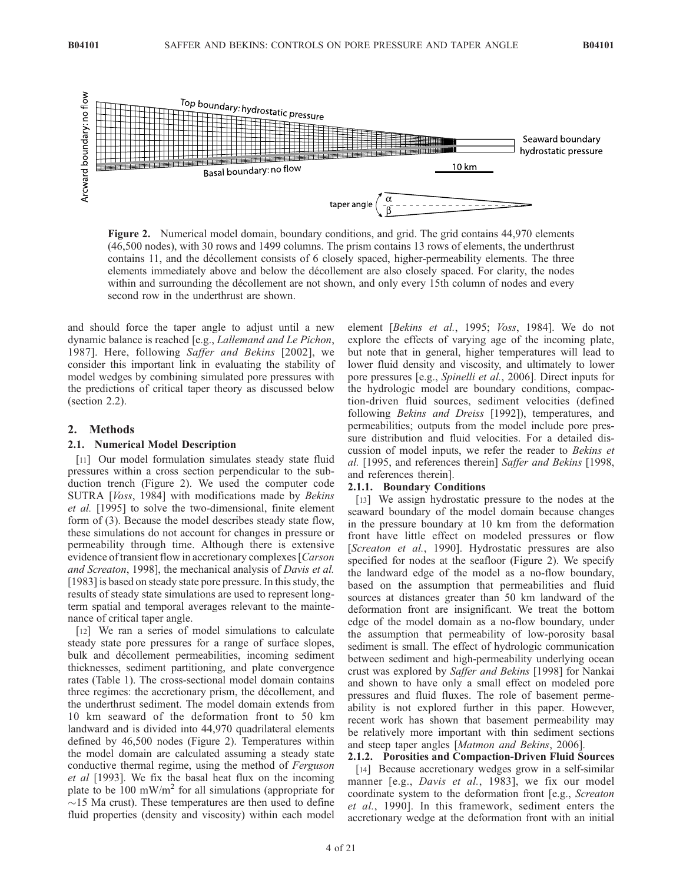

Figure 2. Numerical model domain, boundary conditions, and grid. The grid contains 44,970 elements (46,500 nodes), with 30 rows and 1499 columns. The prism contains 13 rows of elements, the underthrust contains 11, and the décollement consists of 6 closely spaced, higher-permeability elements. The three elements immediately above and below the de´collement are also closely spaced. For clarity, the nodes within and surrounding the décollement are not shown, and only every 15th column of nodes and every second row in the underthrust are shown.

and should force the taper angle to adjust until a new dynamic balance is reached [e.g., Lallemand and Le Pichon, 1987]. Here, following Saffer and Bekins [2002], we consider this important link in evaluating the stability of model wedges by combining simulated pore pressures with the predictions of critical taper theory as discussed below (section 2.2).

## 2. Methods

#### 2.1. Numerical Model Description

[11] Our model formulation simulates steady state fluid pressures within a cross section perpendicular to the subduction trench (Figure 2). We used the computer code SUTRA [Voss, 1984] with modifications made by Bekins et al. [1995] to solve the two-dimensional, finite element form of (3). Because the model describes steady state flow, these simulations do not account for changes in pressure or permeability through time. Although there is extensive evidence of transient flow in accretionary complexes [Carson and Screaton, 1998], the mechanical analysis of Davis et al. [1983] is based on steady state pore pressure. In this study, the results of steady state simulations are used to represent longterm spatial and temporal averages relevant to the maintenance of critical taper angle.

[12] We ran a series of model simulations to calculate steady state pore pressures for a range of surface slopes, bulk and décollement permeabilities, incoming sediment thicknesses, sediment partitioning, and plate convergence rates (Table 1). The cross-sectional model domain contains three regimes: the accretionary prism, the décollement, and the underthrust sediment. The model domain extends from 10 km seaward of the deformation front to 50 km landward and is divided into 44,970 quadrilateral elements defined by 46,500 nodes (Figure 2). Temperatures within the model domain are calculated assuming a steady state conductive thermal regime, using the method of Ferguson et al [1993]. We fix the basal heat flux on the incoming plate to be 100 mW/m<sup>2</sup> for all simulations (appropriate for  $\sim$ 15 Ma crust). These temperatures are then used to define fluid properties (density and viscosity) within each model element [Bekins et al., 1995; Voss, 1984]. We do not explore the effects of varying age of the incoming plate, but note that in general, higher temperatures will lead to lower fluid density and viscosity, and ultimately to lower pore pressures [e.g., Spinelli et al., 2006]. Direct inputs for the hydrologic model are boundary conditions, compaction-driven fluid sources, sediment velocities (defined following *Bekins and Dreiss* [1992]), temperatures, and permeabilities; outputs from the model include pore pressure distribution and fluid velocities. For a detailed discussion of model inputs, we refer the reader to Bekins et al. [1995, and references therein] Saffer and Bekins [1998, and references therein].

## 2.1.1. Boundary Conditions

[13] We assign hydrostatic pressure to the nodes at the seaward boundary of the model domain because changes in the pressure boundary at 10 km from the deformation front have little effect on modeled pressures or flow [Screaton et al., 1990]. Hydrostatic pressures are also specified for nodes at the seafloor (Figure 2). We specify the landward edge of the model as a no-flow boundary, based on the assumption that permeabilities and fluid sources at distances greater than 50 km landward of the deformation front are insignificant. We treat the bottom edge of the model domain as a no-flow boundary, under the assumption that permeability of low-porosity basal sediment is small. The effect of hydrologic communication between sediment and high-permeability underlying ocean crust was explored by Saffer and Bekins [1998] for Nankai and shown to have only a small effect on modeled pore pressures and fluid fluxes. The role of basement permeability is not explored further in this paper. However, recent work has shown that basement permeability may be relatively more important with thin sediment sections and steep taper angles [Matmon and Bekins, 2006].

# 2.1.2. Porosities and Compaction-Driven Fluid Sources [14] Because accretionary wedges grow in a self-similar manner [e.g., *Davis et al.*, 1983], we fix our model coordinate system to the deformation front [e.g., Screaton et al., 1990]. In this framework, sediment enters the accretionary wedge at the deformation front with an initial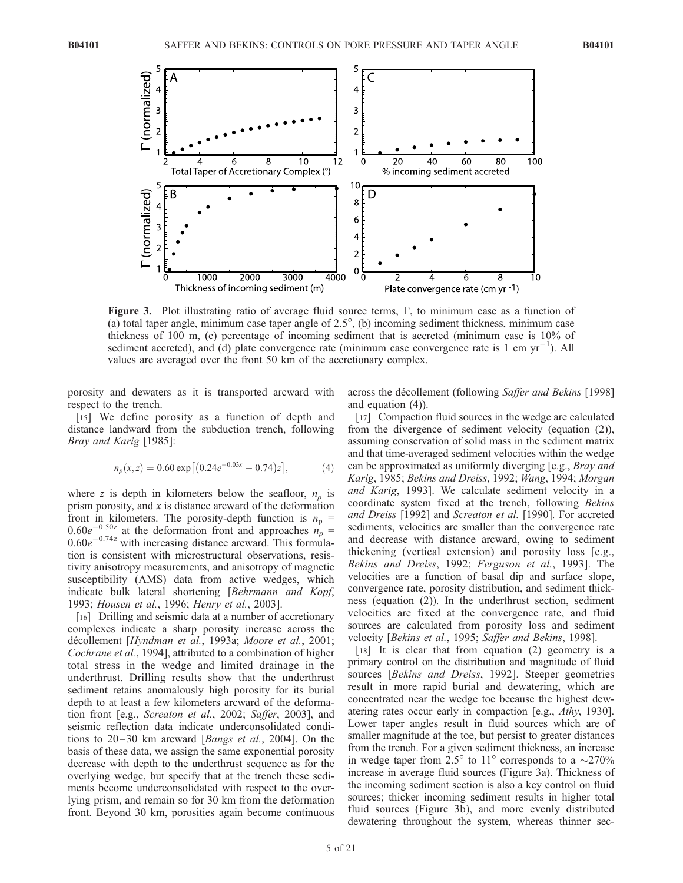

Figure 3. Plot illustrating ratio of average fluid source terms,  $\Gamma$ , to minimum case as a function of (a) total taper angle, minimum case taper angle of  $2.5^{\circ}$ , (b) incoming sediment thickness, minimum case thickness of 100 m, (c) percentage of incoming sediment that is accreted (minimum case is 10% of sediment accreted), and (d) plate convergence rate (minimum case convergence rate is 1 cm  $yr^{-1}$ ). All values are averaged over the front 50 km of the accretionary complex.

porosity and dewaters as it is transported arcward with respect to the trench.

[15] We define porosity as a function of depth and distance landward from the subduction trench, following Bray and Karig [1985]:

$$
n_p(x,z) = 0.60 \exp\left[ (0.24e^{-0.03x} - 0.74)z \right],\tag{4}
$$

where z is depth in kilometers below the seafloor,  $n_n$  is prism porosity, and  $x$  is distance arcward of the deformation front in kilometers. The porosity-depth function is  $n_p =$  $0.60e^{-0.50z}$  at the deformation front and approaches  $n_p =$  $0.60e^{-0.74z}$  with increasing distance arcward. This formulation is consistent with microstructural observations, resistivity anisotropy measurements, and anisotropy of magnetic susceptibility (AMS) data from active wedges, which indicate bulk lateral shortening [Behrmann and Kopf, 1993; Housen et al., 1996; Henry et al., 2003].

[16] Drilling and seismic data at a number of accretionary complexes indicate a sharp porosity increase across the décollement [Hyndman et al., 1993a; Moore et al., 2001; Cochrane et al., 1994], attributed to a combination of higher total stress in the wedge and limited drainage in the underthrust. Drilling results show that the underthrust sediment retains anomalously high porosity for its burial depth to at least a few kilometers arcward of the deformation front [e.g., Screaton et al., 2002; Saffer, 2003], and seismic reflection data indicate underconsolidated conditions to  $20-30$  km arcward [*Bangs et al.*, 2004]. On the basis of these data, we assign the same exponential porosity decrease with depth to the underthrust sequence as for the overlying wedge, but specify that at the trench these sediments become underconsolidated with respect to the overlying prism, and remain so for 30 km from the deformation front. Beyond 30 km, porosities again become continuous across the décollement (following Saffer and Bekins [1998] and equation (4)).

[17] Compaction fluid sources in the wedge are calculated from the divergence of sediment velocity (equation (2)), assuming conservation of solid mass in the sediment matrix and that time-averaged sediment velocities within the wedge can be approximated as uniformly diverging [e.g., Bray and Karig, 1985; Bekins and Dreiss, 1992; Wang, 1994; Morgan and Karig, 1993]. We calculate sediment velocity in a coordinate system fixed at the trench, following Bekins and Dreiss [1992] and Screaton et al. [1990]. For accreted sediments, velocities are smaller than the convergence rate and decrease with distance arcward, owing to sediment thickening (vertical extension) and porosity loss [e.g., Bekins and Dreiss, 1992; Ferguson et al., 1993]. The velocities are a function of basal dip and surface slope, convergence rate, porosity distribution, and sediment thickness (equation (2)). In the underthrust section, sediment velocities are fixed at the convergence rate, and fluid sources are calculated from porosity loss and sediment velocity [Bekins et al., 1995; Saffer and Bekins, 1998].

[18] It is clear that from equation (2) geometry is a primary control on the distribution and magnitude of fluid sources [Bekins and Dreiss, 1992]. Steeper geometries result in more rapid burial and dewatering, which are concentrated near the wedge toe because the highest dewatering rates occur early in compaction [e.g., Athy, 1930]. Lower taper angles result in fluid sources which are of smaller magnitude at the toe, but persist to greater distances from the trench. For a given sediment thickness, an increase in wedge taper from  $2.5^{\circ}$  to  $11^{\circ}$  corresponds to a  $\sim$ 270% increase in average fluid sources (Figure 3a). Thickness of the incoming sediment section is also a key control on fluid sources; thicker incoming sediment results in higher total fluid sources (Figure 3b), and more evenly distributed dewatering throughout the system, whereas thinner sec-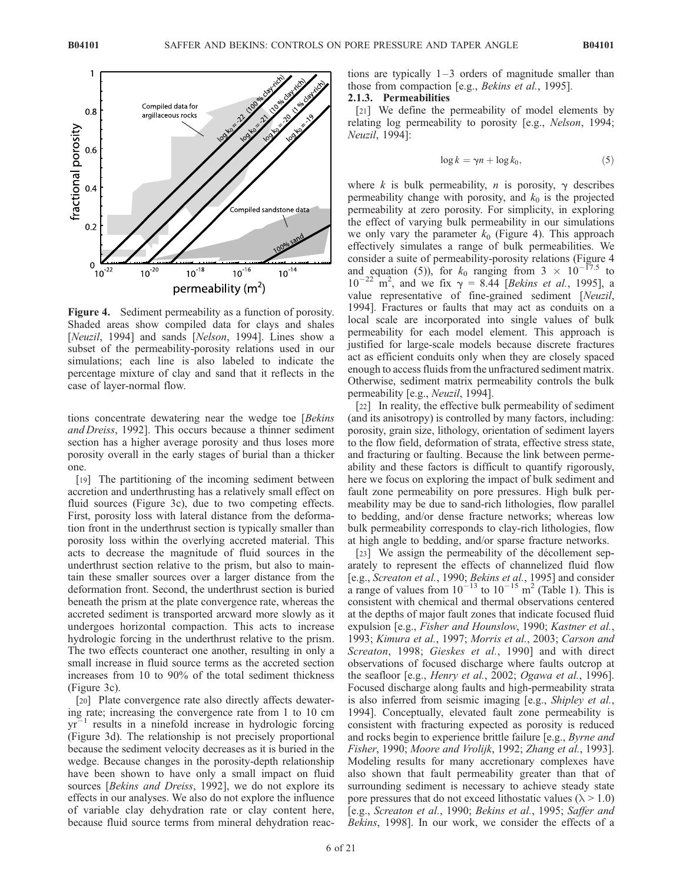

Figure 4. Sediment permeability as a function of porosity. Shaded areas show compiled data for clays and shales [Neuzil, 1994] and sands [Nelson, 1994]. Lines show a subset of the permeability-porosity relations used in our simulations; each line is also labeled to indicate the percentage mixture of clay and sand that it reflects in the case of layer-normal flow.

tions concentrate dewatering near the wedge toe [Bekins and Dreiss, 1992]. This occurs because a thinner sediment section has a higher average porosity and thus loses more porosity overall in the early stages of burial than a thicker one.

[19] The partitioning of the incoming sediment between accretion and underthrusting has a relatively small effect on fluid sources (Figure 3c), due to two competing effects. First, porosity loss with lateral distance from the deformation front in the underthrust section is typically smaller than porosity loss within the overlying accreted material. This acts to decrease the magnitude of fluid sources in the underthrust section relative to the prism, but also to maintain these smaller sources over a larger distance from the deformation front. Second, the underthrust section is buried beneath the prism at the plate convergence rate, whereas the accreted sediment is transported arcward more slowly as it undergoes horizontal compaction. This acts to increase hydrologic forcing in the underthrust relative to the prism. The two effects counteract one another, resulting in only a small increase in fluid source terms as the accreted section increases from 10 to 90% of the total sediment thickness (Figure 3c).

[20] Plate convergence rate also directly affects dewatering rate; increasing the convergence rate from 1 to 10 cm  $yr^{-1}$  results in a ninefold increase in hydrologic forcing (Figure 3d). The relationship is not precisely proportional because the sediment velocity decreases as it is buried in the wedge. Because changes in the porosity-depth relationship have been shown to have only a small impact on fluid sources [Bekins and Dreiss, 1992], we do not explore its effects in our analyses. We also do not explore the influence of variable clay dehydration rate or clay content here, because fluid source terms from mineral dehydration reactions are typically  $1-3$  orders of magnitude smaller than those from compaction [e.g., Bekins et al., 1995].

## 2.1.3. Permeabilities

[21] We define the permeability of model elements by relating log permeability to porosity [e.g., Nelson, 1994; Neuzil, 1994]:

$$
\log k = \gamma n + \log k_0,\tag{5}
$$

where k is bulk permeability, n is porosity,  $\gamma$  describes permeability change with porosity, and  $k_0$  is the projected permeability at zero porosity. For simplicity, in exploring the effect of varying bulk permeability in our simulations we only vary the parameter  $k_0$  (Figure 4). This approach effectively simulates a range of bulk permeabilities. We consider a suite of permeability-porosity relations (Figure 4 and equation (5)), for  $k_0$  ranging from  $3 \times 10^{-17.5}$  to  $10^{-22}$  m<sup>2</sup>, and we fix  $\gamma = 8.44$  [*Bekins et al.*, 1995], a value representative of fine-grained sediment [Neuzil, 1994]. Fractures or faults that may act as conduits on a local scale are incorporated into single values of bulk permeability for each model element. This approach is justified for large-scale models because discrete fractures act as efficient conduits only when they are closely spaced enough to access fluids from the unfractured sediment matrix. Otherwise, sediment matrix permeability controls the bulk permeability [e.g., Neuzil, 1994].

[22] In reality, the effective bulk permeability of sediment (and its anisotropy) is controlled by many factors, including: porosity, grain size, lithology, orientation of sediment layers to the flow field, deformation of strata, effective stress state, and fracturing or faulting. Because the link between permeability and these factors is difficult to quantify rigorously, here we focus on exploring the impact of bulk sediment and fault zone permeability on pore pressures. High bulk permeability may be due to sand-rich lithologies, flow parallel to bedding, and/or dense fracture networks; whereas low bulk permeability corresponds to clay-rich lithologies, flow at high angle to bedding, and/or sparse fracture networks.

[23] We assign the permeability of the décollement separately to represent the effects of channelized fluid flow [e.g., Screaton et al., 1990; Bekins et al., 1995] and consider a range of values from  $10^{-13}$  to  $10^{-15}$  m<sup>2</sup> (Table 1). This is consistent with chemical and thermal observations centered at the depths of major fault zones that indicate focused fluid expulsion [e.g., Fisher and Hounslow, 1990; Kastner et al., 1993; Kimura et al., 1997; Morris et al., 2003; Carson and Screaton, 1998; Gieskes et al., 1990] and with direct observations of focused discharge where faults outcrop at the seafloor [e.g., Henry et al., 2002; Ogawa et al., 1996]. Focused discharge along faults and high-permeability strata is also inferred from seismic imaging [e.g., Shipley et al., 1994]. Conceptually, elevated fault zone permeability is consistent with fracturing expected as porosity is reduced and rocks begin to experience brittle failure [e.g., Byrne and Fisher, 1990; Moore and Vrolijk, 1992; Zhang et al., 1993]. Modeling results for many accretionary complexes have also shown that fault permeability greater than that of surrounding sediment is necessary to achieve steady state pore pressures that do not exceed lithostatic values ( $\lambda$  > 1.0) [e.g., Screaton et al., 1990; Bekins et al., 1995; Saffer and Bekins, 1998]. In our work, we consider the effects of a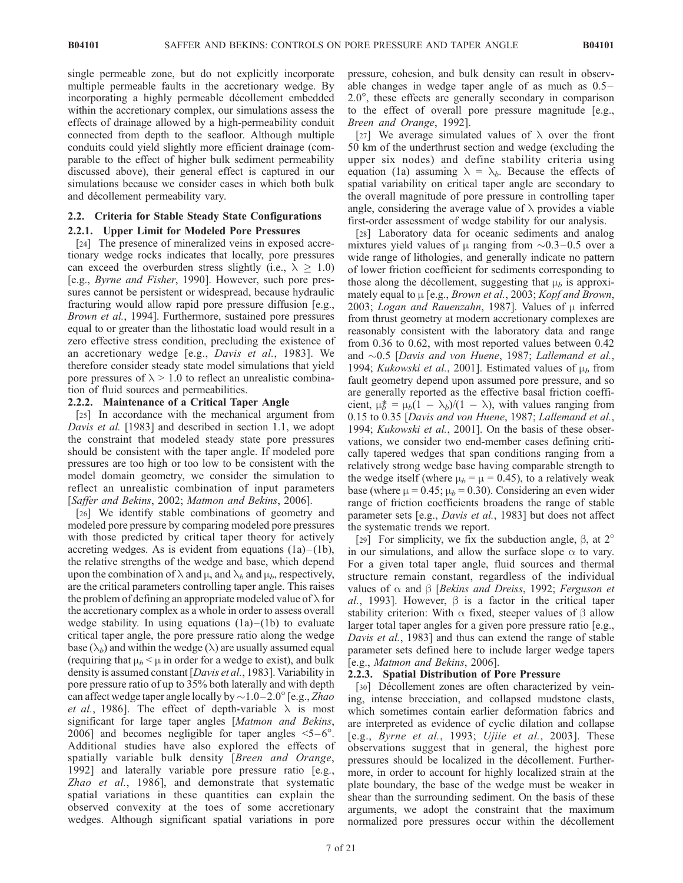single permeable zone, but do not explicitly incorporate multiple permeable faults in the accretionary wedge. By incorporating a highly permeable décollement embedded within the accretionary complex, our simulations assess the effects of drainage allowed by a high-permeability conduit connected from depth to the seafloor. Although multiple conduits could yield slightly more efficient drainage (comparable to the effect of higher bulk sediment permeability discussed above), their general effect is captured in our simulations because we consider cases in which both bulk and décollement permeability vary.

# 2.2. Criteria for Stable Steady State Configurations 2.2.1. Upper Limit for Modeled Pore Pressures

[24] The presence of mineralized veins in exposed accretionary wedge rocks indicates that locally, pore pressures can exceed the overburden stress slightly (i.e.,  $\lambda > 1.0$ ) [e.g., Byrne and Fisher, 1990]. However, such pore pressures cannot be persistent or widespread, because hydraulic fracturing would allow rapid pore pressure diffusion [e.g., Brown et al., 1994]. Furthermore, sustained pore pressures equal to or greater than the lithostatic load would result in a zero effective stress condition, precluding the existence of an accretionary wedge [e.g., Davis et al., 1983]. We therefore consider steady state model simulations that yield pore pressures of  $\lambda > 1.0$  to reflect an unrealistic combination of fluid sources and permeabilities.

## 2.2.2. Maintenance of a Critical Taper Angle

[25] In accordance with the mechanical argument from Davis et al. [1983] and described in section 1.1, we adopt the constraint that modeled steady state pore pressures should be consistent with the taper angle. If modeled pore pressures are too high or too low to be consistent with the model domain geometry, we consider the simulation to reflect an unrealistic combination of input parameters [Saffer and Bekins, 2002; Matmon and Bekins, 2006].

[26] We identify stable combinations of geometry and modeled pore pressure by comparing modeled pore pressures with those predicted by critical taper theory for actively accreting wedges. As is evident from equations  $(1a)$ – $(1b)$ , the relative strengths of the wedge and base, which depend upon the combination of  $\lambda$  and  $\mu$ , and  $\lambda_b$  and  $\mu_b$ , respectively, are the critical parameters controlling taper angle. This raises the problem of defining an appropriate modeled value of  $\lambda$  for the accretionary complex as a whole in order to assess overall wedge stability. In using equations  $(1a)$ – $(1b)$  to evaluate critical taper angle, the pore pressure ratio along the wedge base ( $\lambda_b$ ) and within the wedge ( $\lambda$ ) are usually assumed equal (requiring that  $\mu_b < \mu$  in order for a wedge to exist), and bulk density is assumed constant [*Davis et al.*, 1983]. Variability in pore pressure ratio of up to 35% both laterally and with depth can affect wedge taper angle locally by  $\sim$  1.0–2.0° [e.g., Zhao] *et al.*, 1986]. The effect of depth-variable  $\lambda$  is most significant for large taper angles [Matmon and Bekins, 2006] and becomes negligible for taper angles  $\leq 5-6^\circ$ . Additional studies have also explored the effects of spatially variable bulk density [Breen and Orange, 1992] and laterally variable pore pressure ratio [e.g., Zhao et al., 1986], and demonstrate that systematic spatial variations in these quantities can explain the observed convexity at the toes of some accretionary wedges. Although significant spatial variations in pore

pressure, cohesion, and bulk density can result in observable changes in wedge taper angle of as much as 0.5–  $2.0^{\circ}$ , these effects are generally secondary in comparison to the effect of overall pore pressure magnitude [e.g., Breen and Orange, 1992].

[27] We average simulated values of  $\lambda$  over the front 50 km of the underthrust section and wedge (excluding the upper six nodes) and define stability criteria using equation (1a) assuming  $\lambda = \lambda_b$ . Because the effects of spatial variability on critical taper angle are secondary to the overall magnitude of pore pressure in controlling taper angle, considering the average value of  $\lambda$  provides a viable first-order assessment of wedge stability for our analysis.

[28] Laboratory data for oceanic sediments and analog mixtures yield values of  $\mu$  ranging from  $\sim 0.3-0.5$  over a wide range of lithologies, and generally indicate no pattern of lower friction coefficient for sediments corresponding to those along the décollement, suggesting that  $\mu_b$  is approximately equal to  $\mu$  [e.g., *Brown et al.*, 2003; *Kopf and Brown*, 2003; Logan and Rauenzahn, 1987]. Values of  $\mu$  inferred from thrust geometry at modern accretionary complexes are reasonably consistent with the laboratory data and range from 0.36 to 0.62, with most reported values between 0.42 and  $\sim 0.5$  [Davis and von Huene, 1987; Lallemand et al., 1994; Kukowski et al., 2001]. Estimated values of  $\mu_b$  from fault geometry depend upon assumed pore pressure, and so are generally reported as the effective basal friction coefficient,  $\mu_b^* = \mu_b(1 - \lambda_b)/(1 - \lambda)$ , with values ranging from 0.15 to 0.35 [Davis and von Huene, 1987; Lallemand et al., 1994; Kukowski et al., 2001]. On the basis of these observations, we consider two end-member cases defining critically tapered wedges that span conditions ranging from a relatively strong wedge base having comparable strength to the wedge itself (where  $\mu_b = \mu = 0.45$ ), to a relatively weak base (where  $\mu$  = 0.45;  $\mu_b$  = 0.30). Considering an even wider range of friction coefficients broadens the range of stable parameter sets [e.g., Davis et al., 1983] but does not affect the systematic trends we report.

[29] For simplicity, we fix the subduction angle,  $\beta$ , at  $2^{\circ}$ in our simulations, and allow the surface slope  $\alpha$  to vary. For a given total taper angle, fluid sources and thermal structure remain constant, regardless of the individual values of  $\alpha$  and  $\beta$  [Bekins and Dreiss, 1992; Ferguson et al., 1993]. However,  $\beta$  is a factor in the critical taper stability criterion: With  $\alpha$  fixed, steeper values of  $\beta$  allow larger total taper angles for a given pore pressure ratio [e.g., Davis et al., 1983] and thus can extend the range of stable parameter sets defined here to include larger wedge tapers [e.g., Matmon and Bekins, 2006].

## 2.2.3. Spatial Distribution of Pore Pressure

[30] Décollement zones are often characterized by veining, intense brecciation, and collapsed mudstone clasts, which sometimes contain earlier deformation fabrics and are interpreted as evidence of cyclic dilation and collapse [e.g., Byrne et al., 1993; Ujiie et al., 2003]. These observations suggest that in general, the highest pore pressures should be localized in the décollement. Furthermore, in order to account for highly localized strain at the plate boundary, the base of the wedge must be weaker in shear than the surrounding sediment. On the basis of these arguments, we adopt the constraint that the maximum normalized pore pressures occur within the décollement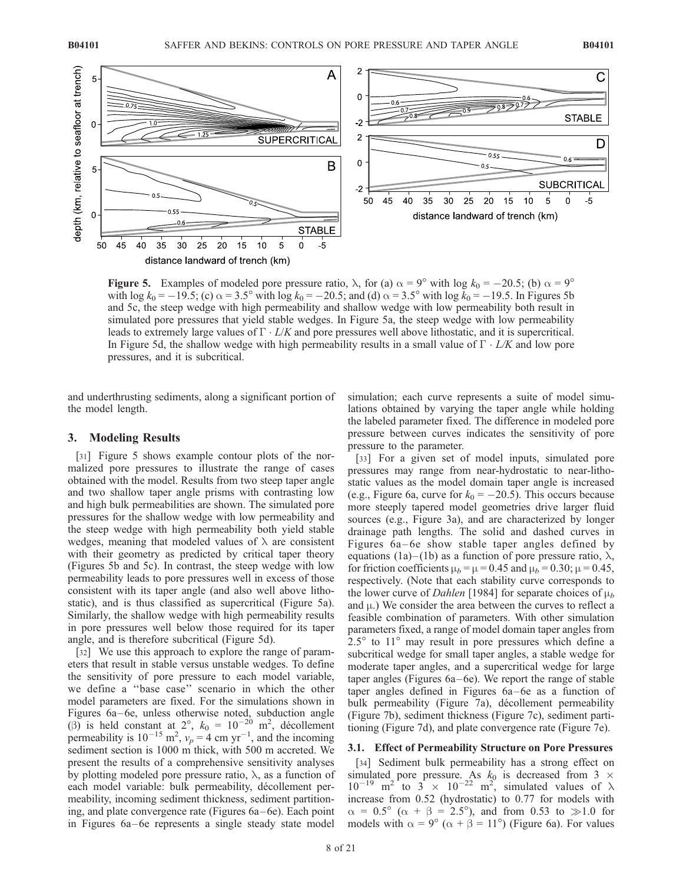

**Figure 5.** Examples of modeled pore pressure ratio,  $\lambda$ , for (a)  $\alpha = 9^\circ$  with log  $k_0 = -20.5$ ; (b)  $\alpha = 9^\circ$ with log  $k_0 = -19.5$ ; (c)  $\alpha = 3.5^\circ$  with log  $k_0 = -20.5$ ; and (d)  $\alpha = 3.5^\circ$  with log  $k_0 = -19.5$ . In Figures 5b and 5c, the steep wedge with high permeability and shallow wedge with low permeability both result in simulated pore pressures that yield stable wedges. In Figure 5a, the steep wedge with low permeability leads to extremely large values of  $\Gamma \cdot L/K$  and pore pressures well above lithostatic, and it is supercritical. In Figure 5d, the shallow wedge with high permeability results in a small value of  $\Gamma \cdot L/K$  and low pore pressures, and it is subcritical.

and underthrusting sediments, along a significant portion of the model length.

#### 3. Modeling Results

[31] Figure 5 shows example contour plots of the normalized pore pressures to illustrate the range of cases obtained with the model. Results from two steep taper angle and two shallow taper angle prisms with contrasting low and high bulk permeabilities are shown. The simulated pore pressures for the shallow wedge with low permeability and the steep wedge with high permeability both yield stable wedges, meaning that modeled values of  $\lambda$  are consistent with their geometry as predicted by critical taper theory (Figures 5b and 5c). In contrast, the steep wedge with low permeability leads to pore pressures well in excess of those consistent with its taper angle (and also well above lithostatic), and is thus classified as supercritical (Figure 5a). Similarly, the shallow wedge with high permeability results in pore pressures well below those required for its taper angle, and is therefore subcritical (Figure 5d).

[32] We use this approach to explore the range of parameters that result in stable versus unstable wedges. To define the sensitivity of pore pressure to each model variable, we define a ''base case'' scenario in which the other model parameters are fixed. For the simulations shown in Figures 6a-6e, unless otherwise noted, subduction angle (B) is held constant at  $2^\circ$ ,  $k_0 = 10^{-20}$  m<sup>2</sup>, décollement permeability is  $10^{-15}$  m<sup>2</sup>,  $v_p = 4$  cm yr<sup>-1</sup>, and the incoming sediment section is 1000 m thick, with 500 m accreted. We present the results of a comprehensive sensitivity analyses by plotting modeled pore pressure ratio,  $\lambda$ , as a function of each model variable: bulk permeability, décollement permeability, incoming sediment thickness, sediment partitioning, and plate convergence rate (Figures 6a – 6e). Each point in Figures 6a–6e represents a single steady state model

simulation; each curve represents a suite of model simulations obtained by varying the taper angle while holding the labeled parameter fixed. The difference in modeled pore pressure between curves indicates the sensitivity of pore pressure to the parameter.

[33] For a given set of model inputs, simulated pore pressures may range from near-hydrostatic to near-lithostatic values as the model domain taper angle is increased (e.g., Figure 6a, curve for  $k_0 = -20.5$ ). This occurs because more steeply tapered model geometries drive larger fluid sources (e.g., Figure 3a), and are characterized by longer drainage path lengths. The solid and dashed curves in Figures  $6a - 6e$  show stable taper angles defined by equations (1a) – (1b) as a function of pore pressure ratio,  $\lambda$ , for friction coefficients  $\mu_b = \mu = 0.45$  and  $\mu_b = 0.30$ ;  $\mu = 0.45$ , respectively. (Note that each stability curve corresponds to the lower curve of *Dahlen* [1984] for separate choices of  $\mu_b$ and  $\mu$ .) We consider the area between the curves to reflect a feasible combination of parameters. With other simulation parameters fixed, a range of model domain taper angles from  $2.5^{\circ}$  to  $11^{\circ}$  may result in pore pressures which define a subcritical wedge for small taper angles, a stable wedge for moderate taper angles, and a supercritical wedge for large taper angles (Figures 6a–6e). We report the range of stable taper angles defined in Figures 6a–6e as a function of bulk permeability (Figure 7a), décollement permeability (Figure 7b), sediment thickness (Figure 7c), sediment partitioning (Figure 7d), and plate convergence rate (Figure 7e).

## 3.1. Effect of Permeability Structure on Pore Pressures

[34] Sediment bulk permeability has a strong effect on simulated pore pressure. As  $k_0$  is decreased from 3  $\times$  $10^{-19}$  m<sup>2</sup> to  $3 \times 10^{-22}$  m<sup>2</sup>, simulated values of  $\lambda$ increase from 0.52 (hydrostatic) to 0.77 for models with  $\alpha = 0.5^{\circ}$  ( $\alpha + \beta = 2.5^{\circ}$ ), and from 0.53 to  $\gg 1.0$  for models with  $\alpha = 9^{\circ}$  ( $\alpha + \beta = 11^{\circ}$ ) (Figure 6a). For values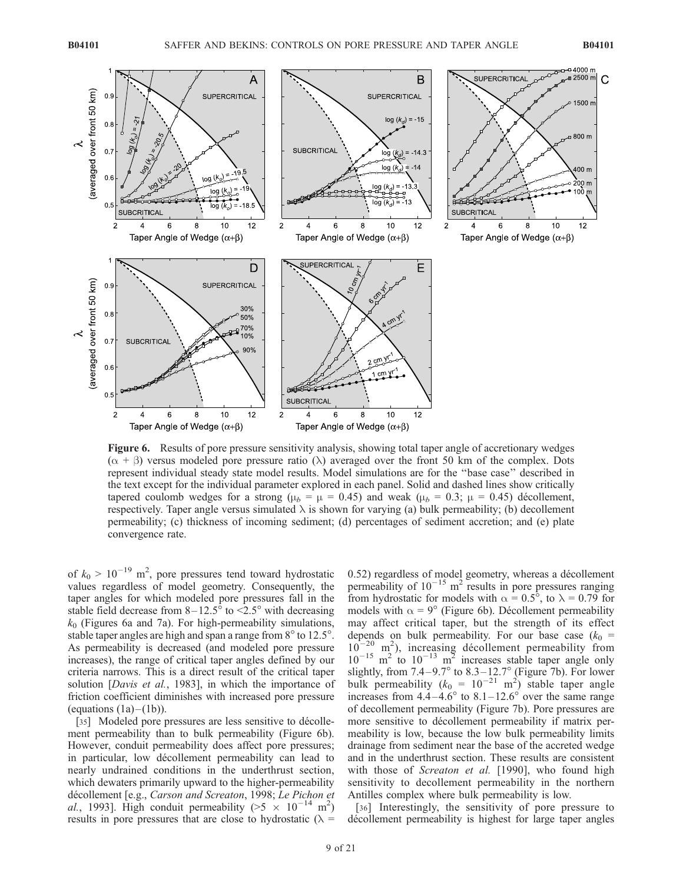

Figure 6. Results of pore pressure sensitivity analysis, showing total taper angle of accretionary wedges  $(\alpha + \beta)$  versus modeled pore pressure ratio ( $\lambda$ ) averaged over the front 50 km of the complex. Dots represent individual steady state model results. Model simulations are for the ''base case'' described in the text except for the individual parameter explored in each panel. Solid and dashed lines show critically tapered coulomb wedges for a strong ( $\mu_b = \mu = 0.45$ ) and weak ( $\mu_b = 0.3$ ;  $\mu = 0.45$ ) décollement, respectively. Taper angle versus simulated  $\lambda$  is shown for varying (a) bulk permeability; (b) decollement permeability; (c) thickness of incoming sediment; (d) percentages of sediment accretion; and (e) plate convergence rate.

of  $k_0 > 10^{-19}$  m<sup>2</sup>, pore pressures tend toward hydrostatic values regardless of model geometry. Consequently, the taper angles for which modeled pore pressures fall in the stable field decrease from  $8-12.5^\circ$  to  $\leq 2.5^\circ$  with decreasing  $k_0$  (Figures 6a and 7a). For high-permeability simulations, stable taper angles are high and span a range from  $8^\circ$  to  $12.5^\circ$ . As permeability is decreased (and modeled pore pressure increases), the range of critical taper angles defined by our criteria narrows. This is a direct result of the critical taper solution [*Davis et al.*, 1983], in which the importance of friction coefficient diminishes with increased pore pressure (equations  $(1a)$ – $(1b)$ ).

[35] Modeled pore pressures are less sensitive to décollement permeability than to bulk permeability (Figure 6b). However, conduit permeability does affect pore pressures; in particular, low décollement permeability can lead to nearly undrained conditions in the underthrust section, which dewaters primarily upward to the higher-permeability décollement [e.g., Carson and Screaton, 1998; Le Pichon et al., 1993]. High conduit permeability ( $>5 \times 10^{-14}$  m<sup>2</sup>) results in pore pressures that are close to hydrostatic ( $\lambda$  =  $0.52$ ) regardless of model geometry, whereas a décollement permeability of  $10^{-15}$  m<sup>2</sup> results in pore pressures ranging from hydrostatic for models with  $\alpha = 0.5^{\circ}$ , to  $\lambda = 0.79$  for models with  $\alpha = 9^{\circ}$  (Figure 6b). Décollement permeability may affect critical taper, but the strength of its effect depends on bulk permeability. For our base case  $(k_0 =$  $10^{-20}$  m<sup>2</sup>), increasing décollement permeability from  $10^{-15}$  m<sup>2</sup> to  $10^{-13}$  m<sup>2</sup> increases stable taper angle only slightly, from  $7.4-9.7^\circ$  to  $8.3-12.7^\circ$  (Figure 7b). For lower bulk permeability ( $k_0 = 10^{-21}$  m<sup>2</sup>) stable taper angle increases from  $4.\overline{4} - \overline{4}.\overline{6}^{\circ}$  to  $8.1 - 12.6^{\circ}$  over the same range of decollement permeability (Figure 7b). Pore pressures are more sensitive to décollement permeability if matrix permeability is low, because the low bulk permeability limits drainage from sediment near the base of the accreted wedge and in the underthrust section. These results are consistent with those of Screaton et al. [1990], who found high sensitivity to decollement permeability in the northern Antilles complex where bulk permeability is low.

[36] Interestingly, the sensitivity of pore pressure to décollement permeability is highest for large taper angles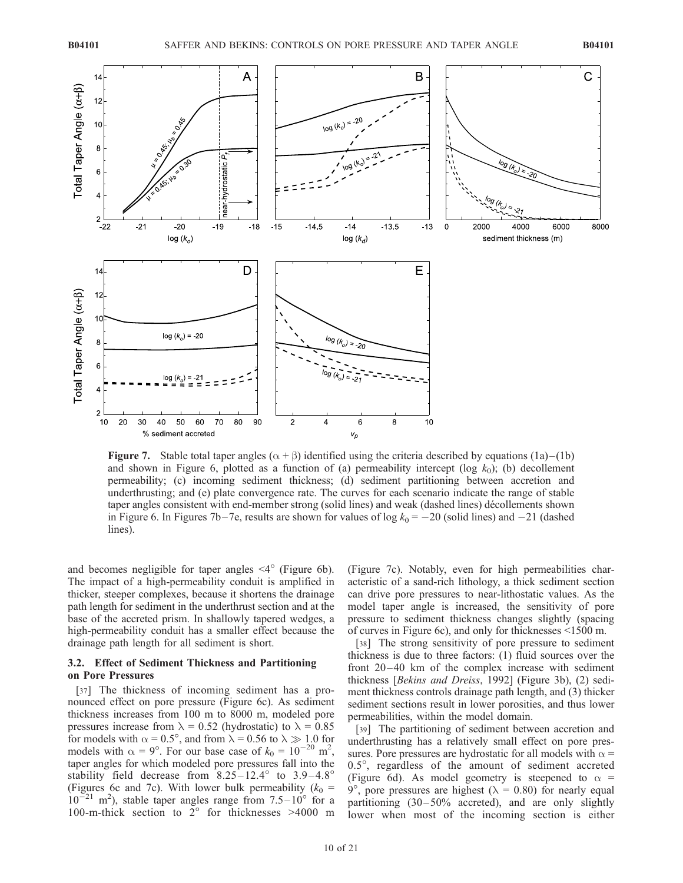

**Figure 7.** Stable total taper angles ( $\alpha + \beta$ ) identified using the criteria described by equations (1a)–(1b) and shown in Figure 6, plotted as a function of (a) permeability intercept (log  $k_0$ ); (b) decollement permeability; (c) incoming sediment thickness; (d) sediment partitioning between accretion and underthrusting; and (e) plate convergence rate. The curves for each scenario indicate the range of stable taper angles consistent with end-member strong (solid lines) and weak (dashed lines) décollements shown in Figure 6. In Figures 7b–7e, results are shown for values of  $log k_0 = -20$  (solid lines) and  $-21$  (dashed lines).

and becomes negligible for taper angles  $\langle 4^\circ$  (Figure 6b). The impact of a high-permeability conduit is amplified in thicker, steeper complexes, because it shortens the drainage path length for sediment in the underthrust section and at the base of the accreted prism. In shallowly tapered wedges, a high-permeability conduit has a smaller effect because the drainage path length for all sediment is short.

## 3.2. Effect of Sediment Thickness and Partitioning on Pore Pressures

[37] The thickness of incoming sediment has a pronounced effect on pore pressure (Figure 6c). As sediment thickness increases from 100 m to 8000 m, modeled pore pressures increase from  $\lambda = 0.52$  (hydrostatic) to  $\lambda = 0.85$ for models with  $\alpha = 0.5^{\circ}$ , and from  $\lambda = 0.56$  to  $\lambda \gg 1.0$  for models with  $\alpha = 9^{\circ}$ . For our base case of  $k_0 = 10^{-20}$  m<sup>2</sup>, taper angles for which modeled pore pressures fall into the stability field decrease from  $8.25-12.4^{\circ}$  to  $3.9-4.8^{\circ}$ (Figures 6c and 7c). With lower bulk permeability  $(k_0 =$  $10^{-21}$  m<sup>2</sup>), stable taper angles range from 7.5– $10^{\circ}$  for a 100-m-thick section to  $2^{\circ}$  for thicknesses  $>4000$  m (Figure 7c). Notably, even for high permeabilities characteristic of a sand-rich lithology, a thick sediment section can drive pore pressures to near-lithostatic values. As the model taper angle is increased, the sensitivity of pore pressure to sediment thickness changes slightly (spacing of curves in Figure 6c), and only for thicknesses <1500 m.

[38] The strong sensitivity of pore pressure to sediment thickness is due to three factors: (1) fluid sources over the front 20–40 km of the complex increase with sediment thickness [Bekins and Dreiss, 1992] (Figure 3b), (2) sediment thickness controls drainage path length, and (3) thicker sediment sections result in lower porosities, and thus lower permeabilities, within the model domain.

[39] The partitioning of sediment between accretion and underthrusting has a relatively small effect on pore pressures. Pore pressures are hydrostatic for all models with  $\alpha$  =  $0.5^{\circ}$ , regardless of the amount of sediment accreted (Figure 6d). As model geometry is steepened to  $\alpha$  = 9°, pore pressures are highest ( $\lambda = 0.80$ ) for nearly equal partitioning  $(30-50\%$  accreted), and are only slightly lower when most of the incoming section is either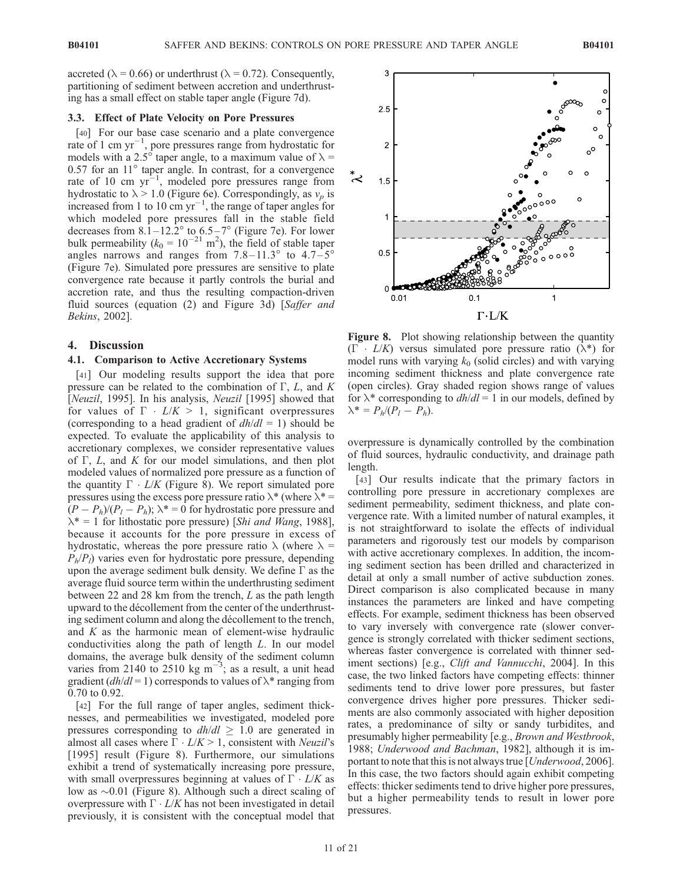accreted ( $\lambda = 0.66$ ) or underthrust ( $\lambda = 0.72$ ). Consequently, partitioning of sediment between accretion and underthrusting has a small effect on stable taper angle (Figure 7d).

# 3.3. Effect of Plate Velocity on Pore Pressures

[40] For our base case scenario and a plate convergence rate of 1 cm  $yr^{-1}$ , pore pressures range from hydrostatic for models with a 2.5° taper angle, to a maximum value of  $\lambda$  =  $0.57$  for an  $11^{\circ}$  taper angle. In contrast, for a convergence rate of 10 cm  $yr^{-1}$ , modeled pore pressures range from hydrostatic to  $\lambda$  > 1.0 (Figure 6e). Correspondingly, as  $v_p$  is increased from 1 to 10 cm  $yr^{-1}$ , the range of taper angles for which modeled pore pressures fall in the stable field decreases from  $8.\overline{1} - 12.2^{\circ}$  to  $6.5 - 7^{\circ}$  (Figure 7e). For lower bulk permeability ( $k_0 = 10^{-21}$  m<sup>2</sup>), the field of stable taper angles narrows and ranges from  $7.8-11.3^{\circ}$  to  $4.7-5^{\circ}$ (Figure 7e). Simulated pore pressures are sensitive to plate convergence rate because it partly controls the burial and accretion rate, and thus the resulting compaction-driven fluid sources (equation (2) and Figure 3d) [Saffer and Bekins, 2002].

#### 4. Discussion

#### 4.1. Comparison to Active Accretionary Systems

[41] Our modeling results support the idea that pore pressure can be related to the combination of  $\Gamma$ , L, and K [*Neuzil*, 1995]. In his analysis, *Neuzil* [1995] showed that for values of  $\Gamma$   $\cdot$   $L/K$  > 1, significant overpressures (corresponding to a head gradient of  $dh/dl = 1$ ) should be expected. To evaluate the applicability of this analysis to accretionary complexes, we consider representative values of  $\Gamma$ ,  $L$ , and  $K$  for our model simulations, and then plot modeled values of normalized pore pressure as a function of the quantity  $\Gamma$   $\cdot$  *L/K* (Figure 8). We report simulated pore pressures using the excess pore pressure ratio  $\lambda^*$  (where  $\lambda^*$  =  $(P - P_h)/(P_l - P_h)$ ;  $\lambda^* = 0$  for hydrostatic pore pressure and  $\lambda^* = 1$  for lithostatic pore pressure) [Shi and Wang, 1988], because it accounts for the pore pressure in excess of hydrostatic, whereas the pore pressure ratio  $\lambda$  (where  $\lambda =$  $P_h/P_l$ ) varies even for hydrostatic pore pressure, depending upon the average sediment bulk density. We define  $\Gamma$  as the average fluid source term within the underthrusting sediment between 22 and 28 km from the trench, L as the path length upward to the décollement from the center of the underthrusting sediment column and along the décollement to the trench, and K as the harmonic mean of element-wise hydraulic conductivities along the path of length L. In our model domains, the average bulk density of the sediment column varies from 2140 to 2510 kg m<sup> $-3$ </sup>; as a result, a unit head gradient ( $dh/dl = 1$ ) corresponds to values of  $\lambda^*$  ranging from 0.70 to 0.92.

[42] For the full range of taper angles, sediment thicknesses, and permeabilities we investigated, modeled pore pressures corresponding to  $dh/dl \geq 1.0$  are generated in almost all cases where  $\Gamma \cdot L/K > 1$ , consistent with *Neuzil's* [1995] result (Figure 8). Furthermore, our simulations exhibit a trend of systematically increasing pore pressure, with small overpressures beginning at values of  $\Gamma \cdot L/K$  as low as  $\sim 0.01$  (Figure 8). Although such a direct scaling of overpressure with  $\Gamma \cdot L/K$  has not been investigated in detail previously, it is consistent with the conceptual model that



Figure 8. Plot showing relationship between the quantity  $(\Gamma \cdot L/K)$  versus simulated pore pressure ratio  $(\lambda^*)$  for model runs with varying  $k_0$  (solid circles) and with varying incoming sediment thickness and plate convergence rate (open circles). Gray shaded region shows range of values for  $\lambda^*$  corresponding to  $dh/dl = 1$  in our models, defined by  $\lambda^* = P_h/(P_l - P_h).$ 

overpressure is dynamically controlled by the combination of fluid sources, hydraulic conductivity, and drainage path length.

[43] Our results indicate that the primary factors in controlling pore pressure in accretionary complexes are sediment permeability, sediment thickness, and plate convergence rate. With a limited number of natural examples, it is not straightforward to isolate the effects of individual parameters and rigorously test our models by comparison with active accretionary complexes. In addition, the incoming sediment section has been drilled and characterized in detail at only a small number of active subduction zones. Direct comparison is also complicated because in many instances the parameters are linked and have competing effects. For example, sediment thickness has been observed to vary inversely with convergence rate (slower convergence is strongly correlated with thicker sediment sections, whereas faster convergence is correlated with thinner sediment sections) [e.g., *Clift and Vannucchi*, 2004]. In this case, the two linked factors have competing effects: thinner sediments tend to drive lower pore pressures, but faster convergence drives higher pore pressures. Thicker sediments are also commonly associated with higher deposition rates, a predominance of silty or sandy turbidites, and presumably higher permeability [e.g., Brown and Westbrook, 1988; Underwood and Bachman, 1982], although it is important to note that this is not always true [*Underwood*, 2006]. In this case, the two factors should again exhibit competing effects: thicker sediments tend to drive higher pore pressures, but a higher permeability tends to result in lower pore pressures.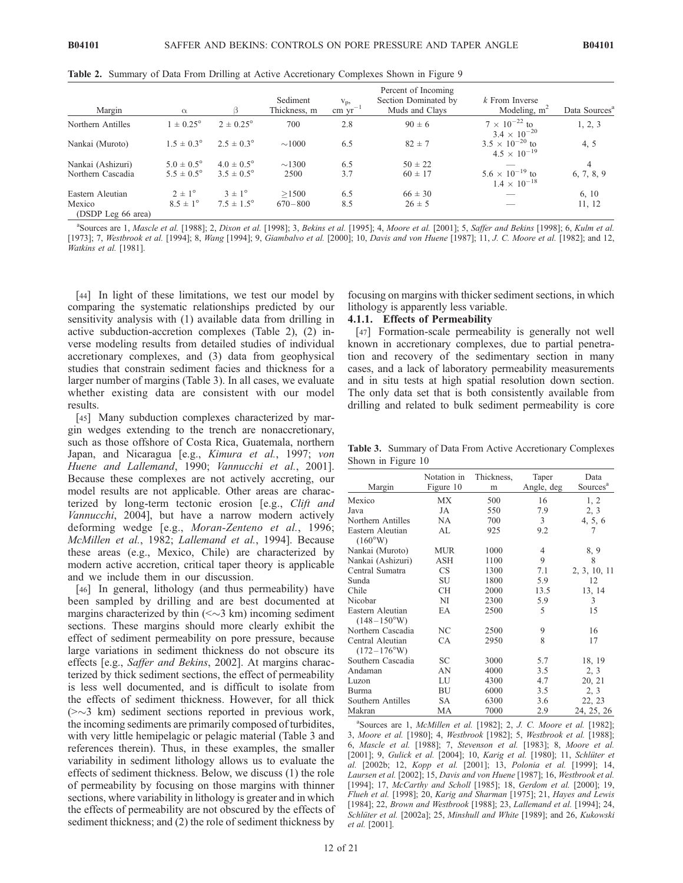| Margin                       | $\alpha$              |                       | Sediment<br>Thickness, m | $V_p$<br>$cm \ yr^{-1}$ | Percent of Incoming<br>Section Dominated by<br>Muds and Clays | k From Inverse<br>Modeling, $m^2$                 | Data Sources <sup>a</sup> |
|------------------------------|-----------------------|-----------------------|--------------------------|-------------------------|---------------------------------------------------------------|---------------------------------------------------|---------------------------|
| Northern Antilles            | $1 \pm 0.25^{\circ}$  | $2 \pm 0.25^{\circ}$  | 700                      | 2.8                     | $90 \pm 6$                                                    | $7 \times 10^{-22}$ to<br>$3.4 \times 10^{-20}$   | 1, 2, 3                   |
| Nankai (Muroto)              | $1.5 \pm 0.3^{\circ}$ | $2.5 \pm 0.3^{\circ}$ | $\sim$ 1000              | 6.5                     | $82 \pm 7$                                                    | $3.5 \times 10^{-20}$ to<br>$4.5 \times 10^{-19}$ | 4, 5                      |
| Nankai (Ashizuri)            | $5.0 \pm 0.5^{\circ}$ | $4.0 \pm 0.5^{\circ}$ | $\sim$ 1300              | 6.5                     | $50 \pm 22$                                                   |                                                   | 4                         |
| Northern Cascadia            | $5.5 \pm 0.5^{\circ}$ | $3.5 \pm 0.5^{\circ}$ | 2500                     | 3.7                     | $60 \pm 17$                                                   | $5.6 \times 10^{-19}$ to<br>$1.4 \times 10^{-18}$ | 6, 7, 8, 9                |
| Eastern Aleutian             | $2 \pm 1^{\circ}$     | $3 \pm 1^{\circ}$     | >1500                    | 6.5                     | $66 \pm 30$                                                   | _                                                 | 6, 10                     |
| Mexico<br>(DSDP Leg 66 area) | $8.5 \pm 1^{\circ}$   | $7.5 \pm 1.5^{\circ}$ | $670 - 800$              | 8.5                     | $26 \pm 5$                                                    | _                                                 | 11, 12                    |

Table 2. Summary of Data From Drilling at Active Accretionary Complexes Shown in Figure 9

<sup>a</sup>Sources are 1, Mascle et al. [1988]; 2, Dixon et al. [1998]; 3, Bekins et al. [1995]; 4, Moore et al. [2001]; 5, Saffer and Bekins [1998]; 6, Kulm et al. [1973]; 7, Westbrook et al. [1994]; 8, Wang [1994]; 9, Giambalvo et al. [2000]; 10, Davis and von Huene [1987]; 11, J. C. Moore et al. [1982]; and 12, Watkins et al. [1981].

[44] In light of these limitations, we test our model by comparing the systematic relationships predicted by our sensitivity analysis with (1) available data from drilling in active subduction-accretion complexes (Table 2), (2) inverse modeling results from detailed studies of individual accretionary complexes, and (3) data from geophysical studies that constrain sediment facies and thickness for a larger number of margins (Table 3). In all cases, we evaluate whether existing data are consistent with our model results.

[45] Many subduction complexes characterized by margin wedges extending to the trench are nonaccretionary, such as those offshore of Costa Rica, Guatemala, northern Japan, and Nicaragua [e.g., Kimura et al., 1997; von Huene and Lallemand, 1990; Vannucchi et al., 2001]. Because these complexes are not actively accreting, our model results are not applicable. Other areas are characterized by long-term tectonic erosion [e.g., Clift and Vannucchi, 2004], but have a narrow modern actively deforming wedge [e.g., Moran-Zenteno et al., 1996; McMillen et al., 1982; Lallemand et al., 1994]. Because these areas (e.g., Mexico, Chile) are characterized by modern active accretion, critical taper theory is applicable and we include them in our discussion.

[46] In general, lithology (and thus permeability) have been sampled by drilling and are best documented at margins characterized by thin  $(<\sim$ 3 km) incoming sediment sections. These margins should more clearly exhibit the effect of sediment permeability on pore pressure, because large variations in sediment thickness do not obscure its effects [e.g., Saffer and Bekins, 2002]. At margins characterized by thick sediment sections, the effect of permeability is less well documented, and is difficult to isolate from the effects of sediment thickness. However, for all thick  $(\geq 3$  km) sediment sections reported in previous work, the incoming sediments are primarily composed of turbidites, with very little hemipelagic or pelagic material (Table 3 and references therein). Thus, in these examples, the smaller variability in sediment lithology allows us to evaluate the effects of sediment thickness. Below, we discuss (1) the role of permeability by focusing on those margins with thinner sections, where variability in lithology is greater and in which the effects of permeability are not obscured by the effects of sediment thickness; and (2) the role of sediment thickness by

focusing on margins with thicker sediment sections, in which lithology is apparently less variable.

#### 4.1.1. Effects of Permeability

[47] Formation-scale permeability is generally not well known in accretionary complexes, due to partial penetration and recovery of the sedimentary section in many cases, and a lack of laboratory permeability measurements and in situ tests at high spatial resolution down section. The only data set that is both consistently available from drilling and related to bulk sediment permeability is core

Table 3. Summary of Data From Active Accretionary Complexes Shown in Figure 10

| Margin                                      | Notation in<br>Figure 10 | Thickness,<br>m | Taper<br>Angle, deg | Data<br>Sources <sup>a</sup> |
|---------------------------------------------|--------------------------|-----------------|---------------------|------------------------------|
| Mexico                                      | МX                       | 500             | 16                  | 1, 2                         |
| Java                                        | JA                       | 550             | 7.9                 | 2, 3                         |
| Northern Antilles                           | NA                       | 700             | 3                   | 4, 5, 6                      |
| Eastern Aleutian<br>$(160^{\circ}$ W)       | AL                       | 925             | 9.2                 | 7                            |
| Nankai (Muroto)                             | MUR                      | 1000            | 4                   | 8, 9                         |
| Nankai (Ashizuri)                           | ASH                      | 1100            | 9                   | 8                            |
| Central Sumatra                             | <b>CS</b>                | 1300            | 7.1                 | 2, 3, 10, 11                 |
| Sunda                                       | SU                       | 1800            | 5.9                 | 12                           |
| Chile                                       | <b>CH</b>                | 2000            | 13.5                | 13, 14                       |
| Nicobar                                     | NI                       | 2300            | 5.9                 | 3                            |
| Eastern Aleutian<br>$(148 - 150^{\circ} W)$ | EA                       | 2500            | 5                   | 15                           |
| Northern Cascadia                           | NC                       | 2500            | 9                   | 16                           |
| Central Aleutian<br>$(172 - 176^{\circ} W)$ | CA                       | 2950            | 8                   | 17                           |
| Southern Cascadia                           | <b>SC</b>                | 3000            | 5.7                 | 18, 19                       |
| Andaman                                     | AN                       | 4000            | 3.5                 | 2, 3                         |
| Luzon                                       | LU                       | 4300            | 4.7                 | 20, 21                       |
| Burma                                       | BU                       | 6000            | 3.5                 | 2, 3                         |
| Southern Antilles                           | <b>SA</b>                | 6300            | 3.6                 | 22, 23                       |
| Makran                                      | МA                       | 7000            | 2.9                 | 24, 25, 26                   |

<sup>a</sup>Sources are 1, McMillen et al. [1982]; 2, J. C. Moore et al. [1982]; 3, Moore et al. [1980]; 4, Westbrook [1982]; 5, Westbrook et al. [1988]; 6, Mascle et al. [1988]; 7, Stevenson et al. [1983]; 8, Moore et al. [2001]; 9, Gulick et al. [2004]; 10, Karig et al. [1980]; 11, Schlüter et al. [2002b; 12, Kopp et al. [2001]; 13, Polonia et al. [1999]; 14, Laursen et al. [2002]; 15, Davis and von Huene [1987]; 16, Westbrook et al. [1994]; 17, McCarthy and Scholl [1985]; 18, Gerdom et al. [2000]; 19, Flueh et al. [1998]; 20, Karig and Sharman [1975]; 21, Hayes and Lewis [1984]; 22, Brown and Westbrook [1988]; 23, Lallemand et al. [1994]; 24, Schlüter et al. [2002a]; 25, Minshull and White [1989]; and 26, Kukowski et al. [2001].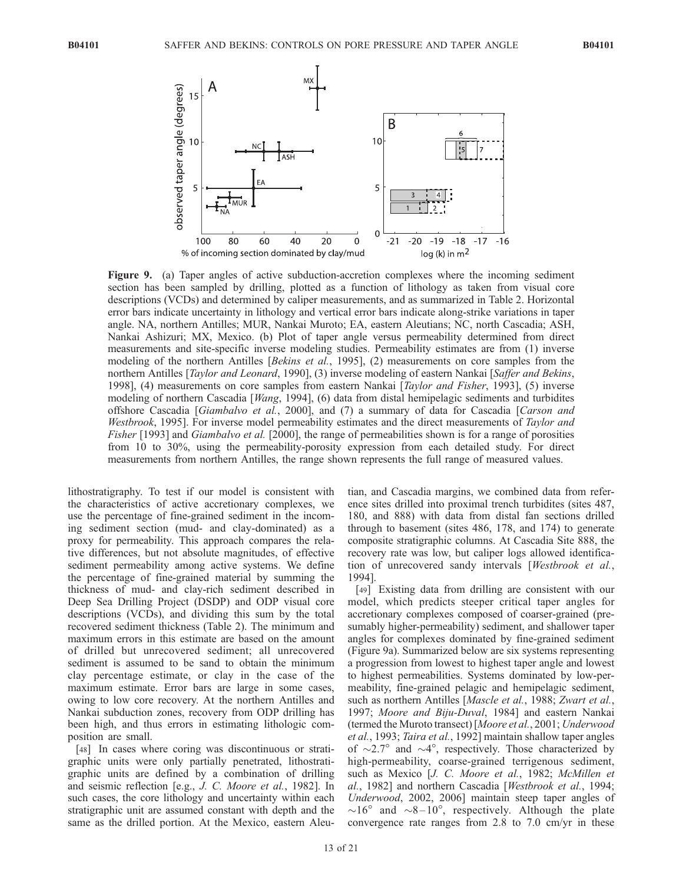

Figure 9. (a) Taper angles of active subduction-accretion complexes where the incoming sediment section has been sampled by drilling, plotted as a function of lithology as taken from visual core descriptions (VCDs) and determined by caliper measurements, and as summarized in Table 2. Horizontal error bars indicate uncertainty in lithology and vertical error bars indicate along-strike variations in taper angle. NA, northern Antilles; MUR, Nankai Muroto; EA, eastern Aleutians; NC, north Cascadia; ASH, Nankai Ashizuri; MX, Mexico. (b) Plot of taper angle versus permeability determined from direct measurements and site-specific inverse modeling studies. Permeability estimates are from (1) inverse modeling of the northern Antilles [Bekins et al., 1995], (2) measurements on core samples from the northern Antilles [*Taylor and Leonard*, 1990], (3) inverse modeling of eastern Nankai [*Saffer and Bekins*, 1998], (4) measurements on core samples from eastern Nankai [Taylor and Fisher, 1993], (5) inverse modeling of northern Cascadia [Wang, 1994], (6) data from distal hemipelagic sediments and turbidites offshore Cascadia [Giambalvo et al., 2000], and (7) a summary of data for Cascadia [Carson and Westbrook, 1995]. For inverse model permeability estimates and the direct measurements of Taylor and Fisher [1993] and Giambalvo et al. [2000], the range of permeabilities shown is for a range of porosities from 10 to 30%, using the permeability-porosity expression from each detailed study. For direct measurements from northern Antilles, the range shown represents the full range of measured values.

lithostratigraphy. To test if our model is consistent with the characteristics of active accretionary complexes, we use the percentage of fine-grained sediment in the incoming sediment section (mud- and clay-dominated) as a proxy for permeability. This approach compares the relative differences, but not absolute magnitudes, of effective sediment permeability among active systems. We define the percentage of fine-grained material by summing the thickness of mud- and clay-rich sediment described in Deep Sea Drilling Project (DSDP) and ODP visual core descriptions (VCDs), and dividing this sum by the total recovered sediment thickness (Table 2). The minimum and maximum errors in this estimate are based on the amount of drilled but unrecovered sediment; all unrecovered sediment is assumed to be sand to obtain the minimum clay percentage estimate, or clay in the case of the maximum estimate. Error bars are large in some cases, owing to low core recovery. At the northern Antilles and Nankai subduction zones, recovery from ODP drilling has been high, and thus errors in estimating lithologic composition are small.

[48] In cases where coring was discontinuous or stratigraphic units were only partially penetrated, lithostratigraphic units are defined by a combination of drilling and seismic reflection [e.g., J. C. Moore et al., 1982]. In such cases, the core lithology and uncertainty within each stratigraphic unit are assumed constant with depth and the same as the drilled portion. At the Mexico, eastern Aleutian, and Cascadia margins, we combined data from reference sites drilled into proximal trench turbidites (sites 487, 180, and 888) with data from distal fan sections drilled through to basement (sites 486, 178, and 174) to generate composite stratigraphic columns. At Cascadia Site 888, the recovery rate was low, but caliper logs allowed identification of unrecovered sandy intervals [Westbrook et al., 1994].

[49] Existing data from drilling are consistent with our model, which predicts steeper critical taper angles for accretionary complexes composed of coarser-grained (presumably higher-permeability) sediment, and shallower taper angles for complexes dominated by fine-grained sediment (Figure 9a). Summarized below are six systems representing a progression from lowest to highest taper angle and lowest to highest permeabilities. Systems dominated by low-permeability, fine-grained pelagic and hemipelagic sediment, such as northern Antilles [Mascle et al., 1988; Zwart et al., 1997; Moore and Biju-Duval, 1984] and eastern Nankai (termed the Muroto transect) [Moore et al., 2001; Underwood et al., 1993; Taira et al., 1992] maintain shallow taper angles of  $\sim$ 2.7° and  $\sim$ 4°, respectively. Those characterized by high-permeability, coarse-grained terrigenous sediment, such as Mexico [J. C. Moore et al., 1982; McMillen et al., 1982] and northern Cascadia [Westbrook et al., 1994; Underwood, 2002, 2006] maintain steep taper angles of  $\sim 16^{\circ}$  and  $\sim 8 - 10^{\circ}$ , respectively. Although the plate convergence rate ranges from 2.8 to 7.0 cm/yr in these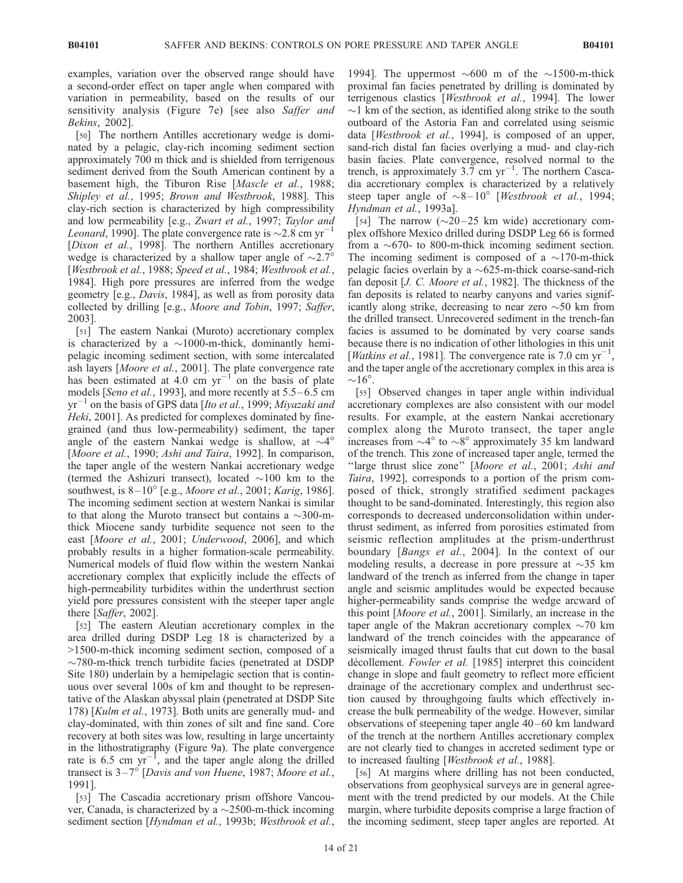examples, variation over the observed range should have a second-order effect on taper angle when compared with variation in permeability, based on the results of our sensitivity analysis (Figure 7e) [see also Saffer and Bekins, 2002].

[50] The northern Antilles accretionary wedge is dominated by a pelagic, clay-rich incoming sediment section approximately 700 m thick and is shielded from terrigenous sediment derived from the South American continent by a basement high, the Tiburon Rise [Mascle et al., 1988; Shipley et al., 1995; Brown and Westbrook, 1988]. This clay-rich section is characterized by high compressibility and low permeability [e.g., Zwart et al., 1997; Taylor and *Leonard*, 1990]. The plate convergence rate is  $\sim$ 2.8 cm yr<sup>-1</sup> [Dixon et al., 1998]. The northern Antilles accretionary wedge is characterized by a shallow taper angle of  $\sim 2.7^{\circ}$ [Westbrook et al., 1988; Speed et al., 1984; Westbrook et al., 1984]. High pore pressures are inferred from the wedge geometry [e.g., Davis, 1984], as well as from porosity data collected by drilling [e.g., Moore and Tobin, 1997; Saffer, 2003].

[51] The eastern Nankai (Muroto) accretionary complex is characterized by a  $\sim$ 1000-m-thick, dominantly hemipelagic incoming sediment section, with some intercalated ash layers [Moore et al., 2001]. The plate convergence rate has been estimated at 4.0 cm  $yr^{-1}$  on the basis of plate models [Seno et al., 1993], and more recently at 5.5-6.5 cm  $yr^{-1}$  on the basis of GPS data [Ito et al., 1999; Miyazaki and Heki, 2001]. As predicted for complexes dominated by finegrained (and thus low-permeability) sediment, the taper angle of the eastern Nankai wedge is shallow, at  $\sim$ 4° [Moore et al., 1990; Ashi and Taira, 1992]. In comparison, the taper angle of the western Nankai accretionary wedge (termed the Ashizuri transect), located  $\sim$ 100 km to the southwest, is  $8-10^{\circ}$  [e.g., *Moore et al.*, 2001; *Karig*, 1986]. The incoming sediment section at western Nankai is similar to that along the Muroto transect but contains a  $\sim$ 300-mthick Miocene sandy turbidite sequence not seen to the east [Moore et al., 2001; Underwood, 2006], and which probably results in a higher formation-scale permeability. Numerical models of fluid flow within the western Nankai accretionary complex that explicitly include the effects of high-permeability turbidites within the underthrust section yield pore pressures consistent with the steeper taper angle there [Saffer, 2002].

[52] The eastern Aleutian accretionary complex in the area drilled during DSDP Leg 18 is characterized by a >1500-m-thick incoming sediment section, composed of a  $\sim$ 780-m-thick trench turbidite facies (penetrated at DSDP Site 180) underlain by a hemipelagic section that is continuous over several 100s of km and thought to be representative of the Alaskan abyssal plain (penetrated at DSDP Site 178) [Kulm et al., 1973]. Both units are generally mud- and clay-dominated, with thin zones of silt and fine sand. Core recovery at both sites was low, resulting in large uncertainty in the lithostratigraphy (Figure 9a). The plate convergence rate is 6.5 cm  $yr^{-1}$ , and the taper angle along the drilled transect is  $3-7^\circ$  [Davis and von Huene, 1987; Moore et al., 1991].

[53] The Cascadia accretionary prism offshore Vancouver, Canada, is characterized by a  $\sim$ 2500-m-thick incoming sediment section [Hyndman et al., 1993b; Westbrook et al.,

1994]. The uppermost  $\sim 600$  m of the  $\sim 1500$ -m-thick proximal fan facies penetrated by drilling is dominated by terrigenous clastics [Westbrook et al., 1994]. The lower  $\sim$ 1 km of the section, as identified along strike to the south outboard of the Astoria Fan and correlated using seismic data [Westbrook et al., 1994], is composed of an upper, sand-rich distal fan facies overlying a mud- and clay-rich basin facies. Plate convergence, resolved normal to the trench, is approximately  $3.7 \text{ cm yr}^{-1}$ . The northern Cascadia accretionary complex is characterized by a relatively steep taper angle of  $\sim 8-10^\circ$  [Westbrook et al., 1994; Hyndman et al., 1993a].

[54] The narrow  $(\sim 20 - 25 \text{ km wide})$  accretionary complex offshore Mexico drilled during DSDP Leg 66 is formed from a  $\sim$  670- to 800-m-thick incoming sediment section. The incoming sediment is composed of a  $\sim$ 170-m-thick pelagic facies overlain by a  $\sim 625$ -m-thick coarse-sand-rich fan deposit [J. C. Moore et al., 1982]. The thickness of the fan deposits is related to nearby canyons and varies significantly along strike, decreasing to near zero  $\sim$  50 km from the drilled transect. Unrecovered sediment in the trench-fan facies is assumed to be dominated by very coarse sands because there is no indication of other lithologies in this unit [Watkins et al., 1981]. The convergence rate is 7.0 cm  $yr^{-1}$ , and the taper angle of the accretionary complex in this area is  $\sim 16^\circ$ .

[55] Observed changes in taper angle within individual accretionary complexes are also consistent with our model results. For example, at the eastern Nankai accretionary complex along the Muroto transect, the taper angle increases from  $\sim$ 4 $\degree$  to  $\sim$ 8 $\degree$  approximately 35 km landward of the trench. This zone of increased taper angle, termed the "large thrust slice zone" [Moore et al., 2001; Ashi and Taira, 1992], corresponds to a portion of the prism composed of thick, strongly stratified sediment packages thought to be sand-dominated. Interestingly, this region also corresponds to decreased underconsolidation within underthrust sediment, as inferred from porosities estimated from seismic reflection amplitudes at the prism-underthrust boundary [Bangs et al., 2004]. In the context of our modeling results, a decrease in pore pressure at  $\sim$ 35 km landward of the trench as inferred from the change in taper angle and seismic amplitudes would be expected because higher-permeability sands comprise the wedge arcward of this point [Moore et al., 2001]. Similarly, an increase in the taper angle of the Makran accretionary complex  $\sim$ 70 km landward of the trench coincides with the appearance of seismically imaged thrust faults that cut down to the basal décollement. Fowler et al. [1985] interpret this coincident change in slope and fault geometry to reflect more efficient drainage of the accretionary complex and underthrust section caused by throughgoing faults which effectively increase the bulk permeability of the wedge. However, similar observations of steepening taper angle  $40-60$  km landward of the trench at the northern Antilles accretionary complex are not clearly tied to changes in accreted sediment type or to increased faulting [Westbrook et al., 1988].

[56] At margins where drilling has not been conducted, observations from geophysical surveys are in general agreement with the trend predicted by our models. At the Chile margin, where turbidite deposits comprise a large fraction of the incoming sediment, steep taper angles are reported. At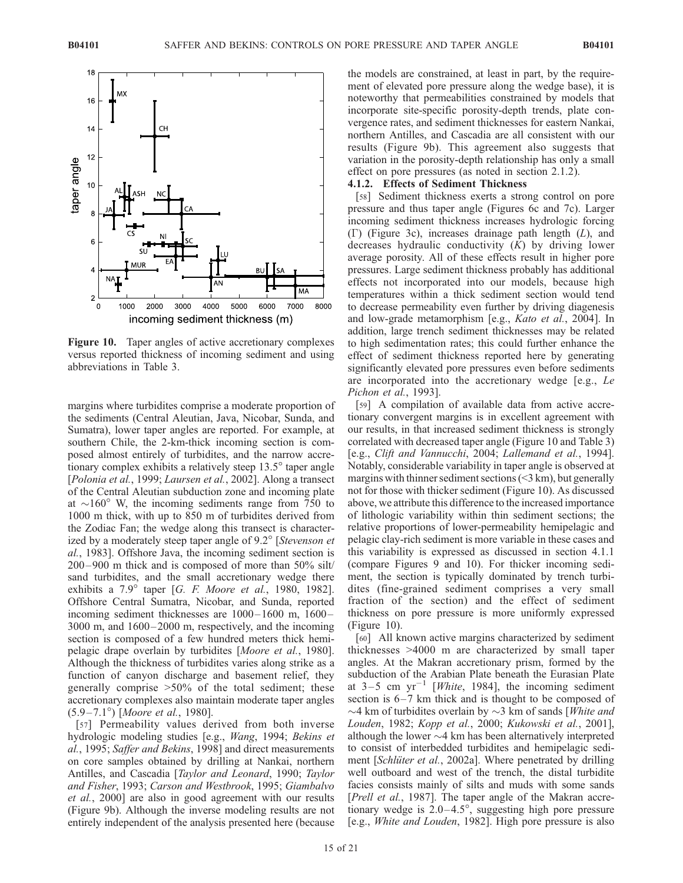

Figure 10. Taper angles of active accretionary complexes versus reported thickness of incoming sediment and using abbreviations in Table 3.

margins where turbidites comprise a moderate proportion of the sediments (Central Aleutian, Java, Nicobar, Sunda, and Sumatra), lower taper angles are reported. For example, at southern Chile, the 2-km-thick incoming section is composed almost entirely of turbidites, and the narrow accretionary complex exhibits a relatively steep  $13.5^\circ$  taper angle [Polonia et al., 1999; Laursen et al., 2002]. Along a transect of the Central Aleutian subduction zone and incoming plate at  $\sim 160^\circ$  W, the incoming sediments range from 750 to 1000 m thick, with up to 850 m of turbidites derived from the Zodiac Fan; the wedge along this transect is characterized by a moderately steep taper angle of  $9.2^{\circ}$  [Stevenson et al., 1983]. Offshore Java, the incoming sediment section is 200 –900 m thick and is composed of more than 50% silt/ sand turbidites, and the small accretionary wedge there exhibits a  $7.9^\circ$  taper [G. F. Moore et al., 1980, 1982]. Offshore Central Sumatra, Nicobar, and Sunda, reported incoming sediment thicknesses are  $1000-1600$  m,  $1600 3000$  m, and  $1600 - 2000$  m, respectively, and the incoming section is composed of a few hundred meters thick hemipelagic drape overlain by turbidites [Moore et al., 1980]. Although the thickness of turbidites varies along strike as a function of canyon discharge and basement relief, they generally comprise >50% of the total sediment; these accretionary complexes also maintain moderate taper angles  $(5.9 - 7.1^{\circ})$  [Moore et al., 1980].

[57] Permeability values derived from both inverse hydrologic modeling studies [e.g., Wang, 1994; Bekins et al., 1995; Saffer and Bekins, 1998] and direct measurements on core samples obtained by drilling at Nankai, northern Antilles, and Cascadia [Taylor and Leonard, 1990; Taylor and Fisher, 1993; Carson and Westbrook, 1995; Giambalvo et al., 2000] are also in good agreement with our results (Figure 9b). Although the inverse modeling results are not entirely independent of the analysis presented here (because the models are constrained, at least in part, by the requirement of elevated pore pressure along the wedge base), it is noteworthy that permeabilities constrained by models that incorporate site-specific porosity-depth trends, plate convergence rates, and sediment thicknesses for eastern Nankai, northern Antilles, and Cascadia are all consistent with our results (Figure 9b). This agreement also suggests that variation in the porosity-depth relationship has only a small effect on pore pressures (as noted in section 2.1.2).

# 4.1.2. Effects of Sediment Thickness

[58] Sediment thickness exerts a strong control on pore pressure and thus taper angle (Figures 6c and 7c). Larger incoming sediment thickness increases hydrologic forcing  $(\Gamma)$  (Figure 3c), increases drainage path length  $(L)$ , and decreases hydraulic conductivity (K) by driving lower average porosity. All of these effects result in higher pore pressures. Large sediment thickness probably has additional effects not incorporated into our models, because high temperatures within a thick sediment section would tend to decrease permeability even further by driving diagenesis and low-grade metamorphism [e.g., Kato et al., 2004]. In addition, large trench sediment thicknesses may be related to high sedimentation rates; this could further enhance the effect of sediment thickness reported here by generating significantly elevated pore pressures even before sediments are incorporated into the accretionary wedge [e.g., Le Pichon et al., 1993].

[59] A compilation of available data from active accretionary convergent margins is in excellent agreement with our results, in that increased sediment thickness is strongly correlated with decreased taper angle (Figure 10 and Table 3) [e.g., Clift and Vannucchi, 2004; Lallemand et al., 1994]. Notably, considerable variability in taper angle is observed at margins with thinner sediment sections  $(< 3 \text{ km})$ , but generally not for those with thicker sediment (Figure 10). As discussed above, we attribute this difference to the increased importance of lithologic variability within thin sediment sections; the relative proportions of lower-permeability hemipelagic and pelagic clay-rich sediment is more variable in these cases and this variability is expressed as discussed in section 4.1.1 (compare Figures 9 and 10). For thicker incoming sediment, the section is typically dominated by trench turbidites (fine-grained sediment comprises a very small fraction of the section) and the effect of sediment thickness on pore pressure is more uniformly expressed (Figure 10).

[60] All known active margins characterized by sediment thicknesses >4000 m are characterized by small taper angles. At the Makran accretionary prism, formed by the subduction of the Arabian Plate beneath the Eurasian Plate at 3-5 cm  $yr^{-1}$  [*White*, 1984], the incoming sediment section is  $6-7$  km thick and is thought to be composed of  $\sim$ 4 km of turbidites overlain by  $\sim$ 3 km of sands [*White and* Louden, 1982; Kopp et al., 2000; Kukowski et al., 2001], although the lower  $\sim$ 4 km has been alternatively interpreted to consist of interbedded turbidites and hemipelagic sediment [Schlüter et al., 2002a]. Where penetrated by drilling well outboard and west of the trench, the distal turbidite facies consists mainly of silts and muds with some sands [Prell et al., 1987]. The taper angle of the Makran accretionary wedge is  $2.0-4.5^{\circ}$ , suggesting high pore pressure [e.g., White and Louden, 1982]. High pore pressure is also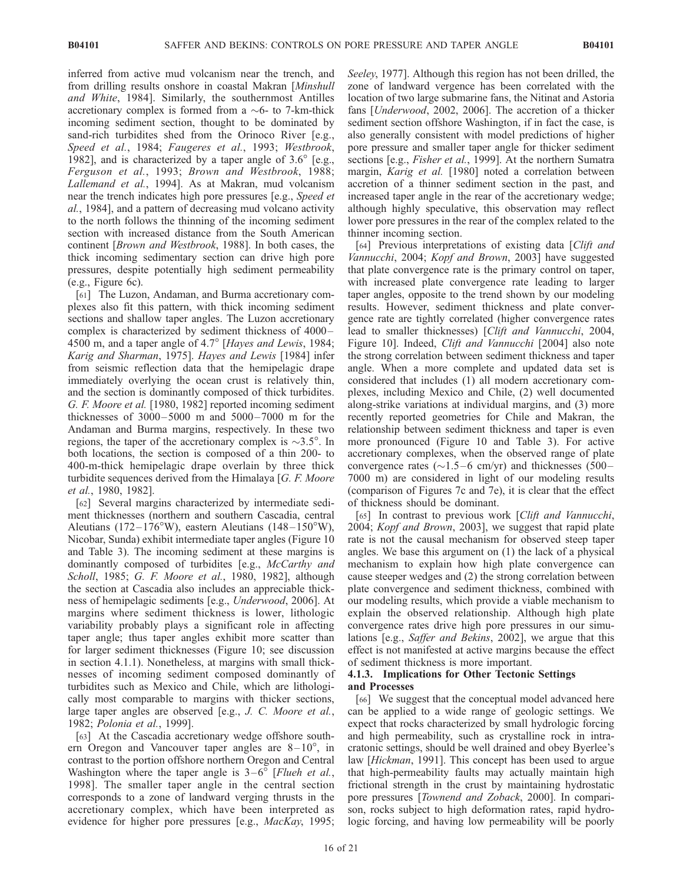inferred from active mud volcanism near the trench, and from drilling results onshore in coastal Makran [Minshull and White, 1984]. Similarly, the southernmost Antilles accretionary complex is formed from a  $\sim$  6- to 7-km-thick incoming sediment section, thought to be dominated by sand-rich turbidites shed from the Orinoco River [e.g., Speed et al., 1984; Faugeres et al., 1993; Westbrook, 1982], and is characterized by a taper angle of  $3.6^{\circ}$  [e.g., Ferguson et al., 1993; Brown and Westbrook, 1988; Lallemand et al., 1994]. As at Makran, mud volcanism near the trench indicates high pore pressures [e.g., Speed et al., 1984], and a pattern of decreasing mud volcano activity to the north follows the thinning of the incoming sediment section with increased distance from the South American continent [Brown and Westbrook, 1988]. In both cases, the thick incoming sedimentary section can drive high pore pressures, despite potentially high sediment permeability (e.g., Figure 6c).

[61] The Luzon, Andaman, and Burma accretionary complexes also fit this pattern, with thick incoming sediment sections and shallow taper angles. The Luzon accretionary complex is characterized by sediment thickness of 4000-4500 m, and a taper angle of 4.7° [Hayes and Lewis, 1984; Karig and Sharman, 1975]. Hayes and Lewis [1984] infer from seismic reflection data that the hemipelagic drape immediately overlying the ocean crust is relatively thin, and the section is dominantly composed of thick turbidites. G. F. Moore et al. [1980, 1982] reported incoming sediment thicknesses of  $3000-5000$  m and  $5000-7000$  m for the Andaman and Burma margins, respectively. In these two regions, the taper of the accretionary complex is  $\sim$ 3.5°. In both locations, the section is composed of a thin 200- to 400-m-thick hemipelagic drape overlain by three thick turbidite sequences derived from the Himalaya [G. F. Moore et al., 1980, 1982].

[62] Several margins characterized by intermediate sediment thicknesses (northern and southern Cascadia, central Aleutians (172–176°W), eastern Aleutians (148–150°W), Nicobar, Sunda) exhibit intermediate taper angles (Figure 10 and Table 3). The incoming sediment at these margins is dominantly composed of turbidites [e.g., McCarthy and Scholl, 1985; G. F. Moore et al., 1980, 1982], although the section at Cascadia also includes an appreciable thickness of hemipelagic sediments [e.g., Underwood, 2006]. At margins where sediment thickness is lower, lithologic variability probably plays a significant role in affecting taper angle; thus taper angles exhibit more scatter than for larger sediment thicknesses (Figure 10; see discussion in section 4.1.1). Nonetheless, at margins with small thicknesses of incoming sediment composed dominantly of turbidites such as Mexico and Chile, which are lithologically most comparable to margins with thicker sections, large taper angles are observed [e.g., J. C. Moore et al., 1982; Polonia et al., 1999].

[63] At the Cascadia accretionary wedge offshore southern Oregon and Vancouver taper angles are  $8-10^{\circ}$ , in contrast to the portion offshore northern Oregon and Central Washington where the taper angle is  $3-6^{\circ}$  [Flueh et al., 1998]. The smaller taper angle in the central section corresponds to a zone of landward verging thrusts in the accretionary complex, which have been interpreted as evidence for higher pore pressures [e.g., MacKay, 1995; Seeley, 1977]. Although this region has not been drilled, the zone of landward vergence has been correlated with the location of two large submarine fans, the Nitinat and Astoria fans [Underwood, 2002, 2006]. The accretion of a thicker sediment section offshore Washington, if in fact the case, is also generally consistent with model predictions of higher pore pressure and smaller taper angle for thicker sediment sections [e.g., Fisher et al., 1999]. At the northern Sumatra margin, Karig et al. [1980] noted a correlation between accretion of a thinner sediment section in the past, and increased taper angle in the rear of the accretionary wedge; although highly speculative, this observation may reflect lower pore pressures in the rear of the complex related to the thinner incoming section.

[64] Previous interpretations of existing data [Clift and Vannucchi, 2004; Kopf and Brown, 2003] have suggested that plate convergence rate is the primary control on taper, with increased plate convergence rate leading to larger taper angles, opposite to the trend shown by our modeling results. However, sediment thickness and plate convergence rate are tightly correlated (higher convergence rates lead to smaller thicknesses) [Clift and Vannucchi, 2004, Figure 10]. Indeed, *Clift and Vannucchi* [2004] also note the strong correlation between sediment thickness and taper angle. When a more complete and updated data set is considered that includes (1) all modern accretionary complexes, including Mexico and Chile, (2) well documented along-strike variations at individual margins, and (3) more recently reported geometries for Chile and Makran, the relationship between sediment thickness and taper is even more pronounced (Figure 10 and Table 3). For active accretionary complexes, when the observed range of plate convergence rates ( $\sim$ 1.5–6 cm/yr) and thicknesses (500– 7000 m) are considered in light of our modeling results (comparison of Figures 7c and 7e), it is clear that the effect of thickness should be dominant.

[65] In contrast to previous work [Clift and Vannucchi, 2004; Kopf and Brown, 2003], we suggest that rapid plate rate is not the causal mechanism for observed steep taper angles. We base this argument on (1) the lack of a physical mechanism to explain how high plate convergence can cause steeper wedges and (2) the strong correlation between plate convergence and sediment thickness, combined with our modeling results, which provide a viable mechanism to explain the observed relationship. Although high plate convergence rates drive high pore pressures in our simulations [e.g., Saffer and Bekins, 2002], we argue that this effect is not manifested at active margins because the effect of sediment thickness is more important.

# 4.1.3. Implications for Other Tectonic Settings and Processes

[66] We suggest that the conceptual model advanced here can be applied to a wide range of geologic settings. We expect that rocks characterized by small hydrologic forcing and high permeability, such as crystalline rock in intracratonic settings, should be well drained and obey Byerlee's law [Hickman, 1991]. This concept has been used to argue that high-permeability faults may actually maintain high frictional strength in the crust by maintaining hydrostatic pore pressures [Townend and Zoback, 2000]. In comparison, rocks subject to high deformation rates, rapid hydrologic forcing, and having low permeability will be poorly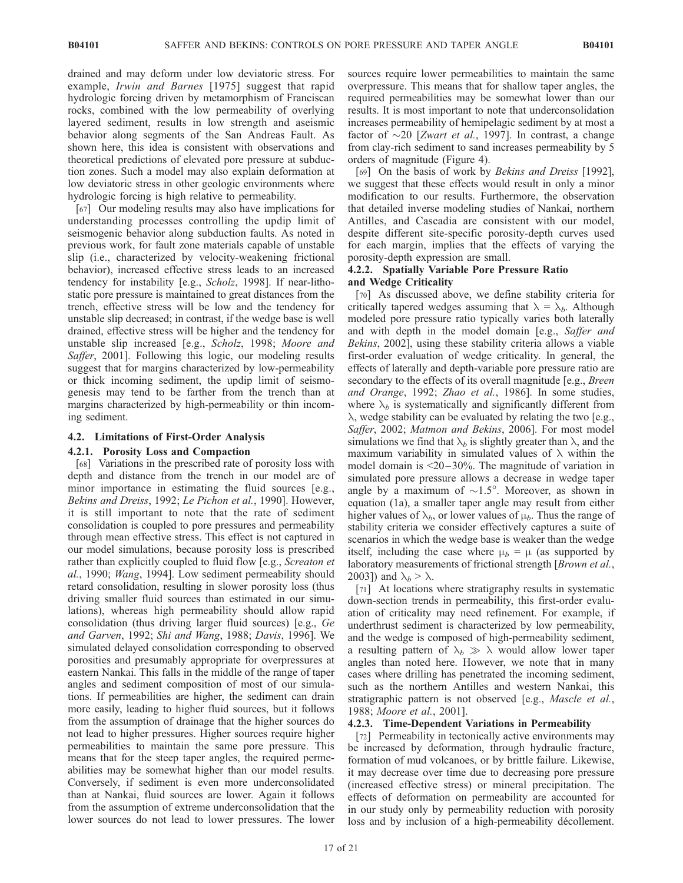drained and may deform under low deviatoric stress. For example, Irwin and Barnes [1975] suggest that rapid hydrologic forcing driven by metamorphism of Franciscan rocks, combined with the low permeability of overlying layered sediment, results in low strength and aseismic behavior along segments of the San Andreas Fault. As shown here, this idea is consistent with observations and theoretical predictions of elevated pore pressure at subduction zones. Such a model may also explain deformation at low deviatoric stress in other geologic environments where hydrologic forcing is high relative to permeability.

[67] Our modeling results may also have implications for understanding processes controlling the updip limit of seismogenic behavior along subduction faults. As noted in previous work, for fault zone materials capable of unstable slip (i.e., characterized by velocity-weakening frictional behavior), increased effective stress leads to an increased tendency for instability [e.g., Scholz, 1998]. If near-lithostatic pore pressure is maintained to great distances from the trench, effective stress will be low and the tendency for unstable slip decreased; in contrast, if the wedge base is well drained, effective stress will be higher and the tendency for unstable slip increased [e.g., Scholz, 1998; Moore and Saffer, 2001]. Following this logic, our modeling results suggest that for margins characterized by low-permeability or thick incoming sediment, the updip limit of seismogenesis may tend to be farther from the trench than at margins characterized by high-permeability or thin incoming sediment.

#### 4.2. Limitations of First-Order Analysis

#### 4.2.1. Porosity Loss and Compaction

[68] Variations in the prescribed rate of porosity loss with depth and distance from the trench in our model are of minor importance in estimating the fluid sources [e.g., Bekins and Dreiss, 1992; Le Pichon et al., 1990]. However, it is still important to note that the rate of sediment consolidation is coupled to pore pressures and permeability through mean effective stress. This effect is not captured in our model simulations, because porosity loss is prescribed rather than explicitly coupled to fluid flow [e.g., Screaton et al., 1990; Wang, 1994]. Low sediment permeability should retard consolidation, resulting in slower porosity loss (thus driving smaller fluid sources than estimated in our simulations), whereas high permeability should allow rapid consolidation (thus driving larger fluid sources) [e.g., Ge and Garven, 1992; Shi and Wang, 1988; Davis, 1996]. We simulated delayed consolidation corresponding to observed porosities and presumably appropriate for overpressures at eastern Nankai. This falls in the middle of the range of taper angles and sediment composition of most of our simulations. If permeabilities are higher, the sediment can drain more easily, leading to higher fluid sources, but it follows from the assumption of drainage that the higher sources do not lead to higher pressures. Higher sources require higher permeabilities to maintain the same pore pressure. This means that for the steep taper angles, the required permeabilities may be somewhat higher than our model results. Conversely, if sediment is even more underconsolidated than at Nankai, fluid sources are lower. Again it follows from the assumption of extreme underconsolidation that the lower sources do not lead to lower pressures. The lower

sources require lower permeabilities to maintain the same overpressure. This means that for shallow taper angles, the required permeabilities may be somewhat lower than our results. It is most important to note that underconsolidation increases permeability of hemipelagic sediment by at most a factor of  $\sim$ 20 [Zwart et al., 1997]. In contrast, a change from clay-rich sediment to sand increases permeability by 5 orders of magnitude (Figure 4).

[69] On the basis of work by *Bekins and Dreiss* [1992], we suggest that these effects would result in only a minor modification to our results. Furthermore, the observation that detailed inverse modeling studies of Nankai, northern Antilles, and Cascadia are consistent with our model, despite different site-specific porosity-depth curves used for each margin, implies that the effects of varying the porosity-depth expression are small.

## 4.2.2. Spatially Variable Pore Pressure Ratio and Wedge Criticality

[70] As discussed above, we define stability criteria for critically tapered wedges assuming that  $\lambda = \lambda_b$ . Although modeled pore pressure ratio typically varies both laterally and with depth in the model domain [e.g., Saffer and Bekins, 2002], using these stability criteria allows a viable first-order evaluation of wedge criticality. In general, the effects of laterally and depth-variable pore pressure ratio are secondary to the effects of its overall magnitude [e.g., *Breen* and Orange, 1992; Zhao et al., 1986]. In some studies, where  $\lambda_b$  is systematically and significantly different from  $\lambda$ , wedge stability can be evaluated by relating the two [e.g., Saffer, 2002; Matmon and Bekins, 2006]. For most model simulations we find that  $\lambda_b$  is slightly greater than  $\lambda$ , and the maximum variability in simulated values of  $\lambda$  within the model domain is  $\leq 20-30\%$ . The magnitude of variation in simulated pore pressure allows a decrease in wedge taper angle by a maximum of  $\sim 1.5^\circ$ . Moreover, as shown in equation (1a), a smaller taper angle may result from either higher values of  $\lambda_b$ , or lower values of  $\mu_b$ . Thus the range of stability criteria we consider effectively captures a suite of scenarios in which the wedge base is weaker than the wedge itself, including the case where  $\mu_b = \mu$  (as supported by laboratory measurements of frictional strength [*Brown et al.*, 2003]) and  $\lambda_h > \lambda$ .

[71] At locations where stratigraphy results in systematic down-section trends in permeability, this first-order evaluation of criticality may need refinement. For example, if underthrust sediment is characterized by low permeability, and the wedge is composed of high-permeability sediment, a resulting pattern of  $\lambda_b \gg \lambda$  would allow lower taper angles than noted here. However, we note that in many cases where drilling has penetrated the incoming sediment, such as the northern Antilles and western Nankai, this stratigraphic pattern is not observed [e.g., Mascle et al., 1988; Moore et al., 2001].

## 4.2.3. Time-Dependent Variations in Permeability

[72] Permeability in tectonically active environments may be increased by deformation, through hydraulic fracture, formation of mud volcanoes, or by brittle failure. Likewise, it may decrease over time due to decreasing pore pressure (increased effective stress) or mineral precipitation. The effects of deformation on permeability are accounted for in our study only by permeability reduction with porosity loss and by inclusion of a high-permeability décollement.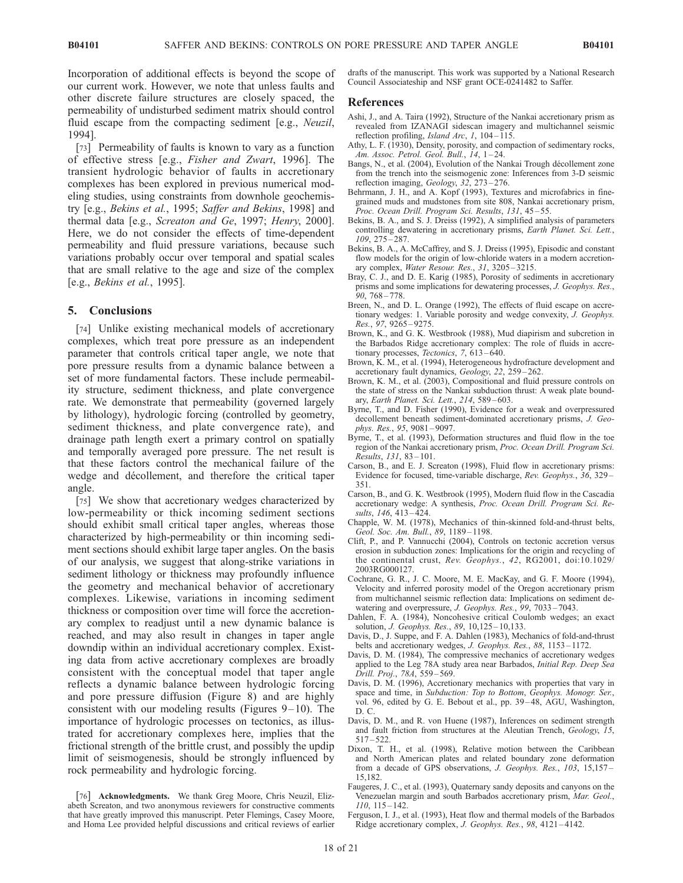Incorporation of additional effects is beyond the scope of our current work. However, we note that unless faults and other discrete failure structures are closely spaced, the permeability of undisturbed sediment matrix should control fluid escape from the compacting sediment [e.g., Neuzil, 1994].

[73] Permeability of faults is known to vary as a function of effective stress [e.g., Fisher and Zwart, 1996]. The transient hydrologic behavior of faults in accretionary complexes has been explored in previous numerical modeling studies, using constraints from downhole geochemistry [e.g., Bekins et al., 1995; Saffer and Bekins, 1998] and thermal data [e.g., Screaton and Ge, 1997; Henry, 2000]. Here, we do not consider the effects of time-dependent permeability and fluid pressure variations, because such variations probably occur over temporal and spatial scales that are small relative to the age and size of the complex [e.g., Bekins et al., 1995].

# 5. Conclusions

[74] Unlike existing mechanical models of accretionary complexes, which treat pore pressure as an independent parameter that controls critical taper angle, we note that pore pressure results from a dynamic balance between a set of more fundamental factors. These include permeability structure, sediment thickness, and plate convergence rate. We demonstrate that permeability (governed largely by lithology), hydrologic forcing (controlled by geometry, sediment thickness, and plate convergence rate), and drainage path length exert a primary control on spatially and temporally averaged pore pressure. The net result is that these factors control the mechanical failure of the wedge and décollement, and therefore the critical taper angle.

[75] We show that accretionary wedges characterized by low-permeability or thick incoming sediment sections should exhibit small critical taper angles, whereas those characterized by high-permeability or thin incoming sediment sections should exhibit large taper angles. On the basis of our analysis, we suggest that along-strike variations in sediment lithology or thickness may profoundly influence the geometry and mechanical behavior of accretionary complexes. Likewise, variations in incoming sediment thickness or composition over time will force the accretionary complex to readjust until a new dynamic balance is reached, and may also result in changes in taper angle downdip within an individual accretionary complex. Existing data from active accretionary complexes are broadly consistent with the conceptual model that taper angle reflects a dynamic balance between hydrologic forcing and pore pressure diffusion (Figure 8) and are highly consistent with our modeling results (Figures  $9-10$ ). The importance of hydrologic processes on tectonics, as illustrated for accretionary complexes here, implies that the frictional strength of the brittle crust, and possibly the updip limit of seismogenesis, should be strongly influenced by rock permeability and hydrologic forcing.

[76] Acknowledgments. We thank Greg Moore, Chris Neuzil, Elizabeth Screaton, and two anonymous reviewers for constructive comments that have greatly improved this manuscript. Peter Flemings, Casey Moore, and Homa Lee provided helpful discussions and critical reviews of earlier

drafts of the manuscript. This work was supported by a National Research Council Associateship and NSF grant OCE-0241482 to Saffer.

# References

- Ashi, J., and A. Taira (1992), Structure of the Nankai accretionary prism as revealed from IZANAGI sidescan imagery and multichannel seismic reflection profiling, *Island Arc*, 1, 104-115.
- Athy, L. F. (1930), Density, porosity, and compaction of sedimentary rocks, Am. Assoc. Petrol. Geol. Bull., 14, 1-24.
- Bangs, N., et al. (2004), Evolution of the Nankai Trough décollement zone from the trench into the seismogenic zone: Inferences from 3-D seismic reflection imaging, Geology, 32, 273-276.
- Behrmann, J. H., and A. Kopf (1993), Textures and microfabrics in finegrained muds and mudstones from site 808, Nankai accretionary prism, Proc. Ocean Drill. Program Sci. Results, 131, 45-55.
- Bekins, B. A., and S. J. Dreiss (1992), A simplified analysis of parameters controlling dewatering in accretionary prisms, Earth Planet. Sci. Lett., 109, 275 – 287.
- Bekins, B. A., A. McCaffrey, and S. J. Dreiss (1995), Episodic and constant flow models for the origin of low-chloride waters in a modern accretionary complex, Water Resour. Res., 31, 3205-3215.
- Bray, C. J., and D. E. Karig (1985), Porosity of sediments in accretionary prisms and some implications for dewatering processes, J. Geophys. Res., 90, 768 – 778.
- Breen, N., and D. L. Orange (1992), The effects of fluid escape on accretionary wedges: 1. Variable porosity and wedge convexity, J. Geophys. Res., 97, 9265 – 9275.
- Brown, K., and G. K. Westbrook (1988), Mud diapirism and subcretion in the Barbados Ridge accretionary complex: The role of fluids in accretionary processes, Tectonics, 7, 613-640.
- Brown, K. M., et al. (1994), Heterogeneous hydrofracture development and accretionary fault dynamics, Geology, 22, 259 – 262.
- Brown, K. M., et al. (2003), Compositional and fluid pressure controls on the state of stress on the Nankai subduction thrust: A weak plate boundary, Earth Planet. Sci. Lett., 214, 589 – 603.
- Byrne, T., and D. Fisher (1990), Evidence for a weak and overpressured decollement beneath sediment-dominated accretionary prisms, J. Geophys. Res., 95, 9081 – 9097.
- Byrne, T., et al. (1993), Deformation structures and fluid flow in the toe region of the Nankai accretionary prism, Proc. Ocean Drill. Program Sci. Results, 131, 83 – 101.
- Carson, B., and E. J. Screaton (1998), Fluid flow in accretionary prisms: Evidence for focused, time-variable discharge, Rev. Geophys., 36, 329 – 351.
- Carson, B., and G. K. Westbrook (1995), Modern fluid flow in the Cascadia accretionary wedge: A synthesis, Proc. Ocean Drill. Program Sci. Results, 146, 413–424.
- Chapple, W. M. (1978), Mechanics of thin-skinned fold-and-thrust belts, Geol. Soc. Am. Bull., 89, 1189 – 1198.
- Clift, P., and P. Vannucchi (2004), Controls on tectonic accretion versus erosion in subduction zones: Implications for the origin and recycling of the continental crust, Rev. Geophys., 42, RG2001, doi:10.1029/ 2003RG000127.
- Cochrane, G. R., J. C. Moore, M. E. MacKay, and G. F. Moore (1994), Velocity and inferred porosity model of the Oregon accretionary prism from multichannel seismic reflection data: Implications on sediment dewatering and overpressure, J. Geophys. Res., 99, 7033-7043.
- Dahlen, F. A. (1984), Noncohesive critical Coulomb wedges; an exact solution, *J. Geophys. Res.*, 89, 10,125-10,133.
- Davis, D., J. Suppe, and F. A. Dahlen (1983), Mechanics of fold-and-thrust belts and accretionary wedges, J. Geophys. Res., 88, 1153-1172.
- Davis, D. M. (1984), The compressive mechanics of accretionary wedges applied to the Leg 78A study area near Barbados, Initial Rep. Deep Sea Drill. Proj., 78A, 559-569.
- Davis, D. M. (1996), Accretionary mechanics with properties that vary in space and time, in Subduction: Top to Bottom, Geophys. Monogr. Ser., vol. 96, edited by G. E. Bebout et al., pp. 39-48, AGU, Washington, D. C.
- Davis, D. M., and R. von Huene (1987), Inferences on sediment strength and fault friction from structures at the Aleutian Trench, Geology, 15,  $517 - 522$
- Dixon, T. H., et al. (1998), Relative motion between the Caribbean and North American plates and related boundary zone deformation from a decade of GPS observations, J. Geophys. Res., 103, 15,157-15,182.
- Faugeres, J. C., et al. (1993), Quaternary sandy deposits and canyons on the Venezuelan margin and south Barbados accretionary prism, Mar. Geol.,  $110, 115 - 142.$
- Ferguson, I. J., et al. (1993), Heat flow and thermal models of the Barbados Ridge accretionary complex, J. Geophys. Res., 98, 4121-4142.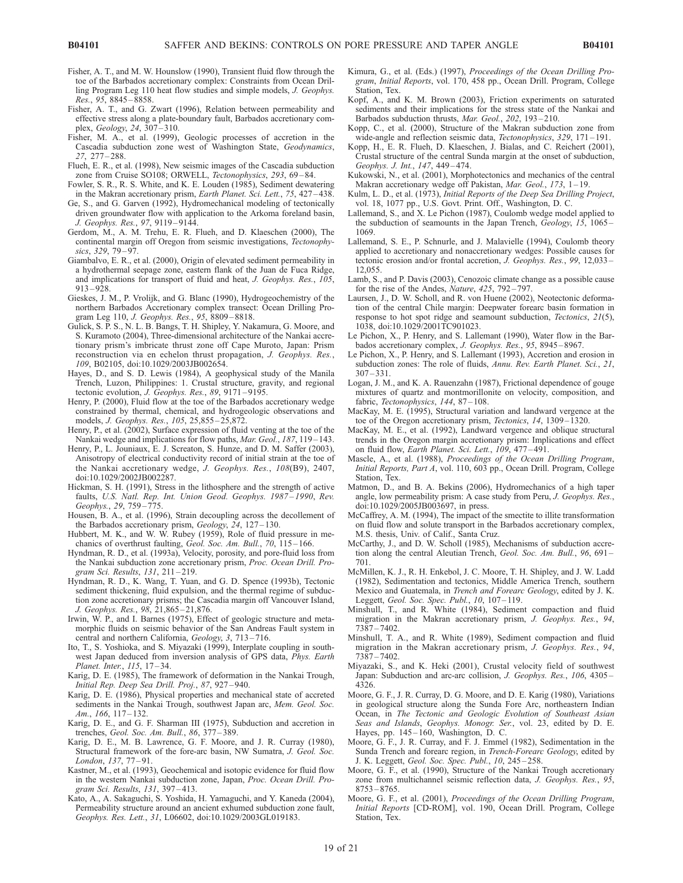- Fisher, A. T., and M. W. Hounslow (1990), Transient fluid flow through the toe of the Barbados accretionary complex: Constraints from Ocean Drilling Program Leg 110 heat flow studies and simple models, J. Geophys. Res., 95, 8845 – 8858.
- Fisher, A. T., and G. Zwart (1996), Relation between permeability and effective stress along a plate-boundary fault, Barbados accretionary complex, Geology, 24, 307-310.
- Fisher, M. A., et al. (1999), Geologic processes of accretion in the Cascadia subduction zone west of Washington State, Geodynamics, 27, 277 – 288.
- Flueh, E. R., et al. (1998), New seismic images of the Cascadia subduction zone from Cruise SO108; ORWELL, Tectonophysics, 293, 69-84.
- Fowler, S. R., R. S. White, and K. E. Louden (1985), Sediment dewatering in the Makran accretionary prism, Earth Planet. Sci. Lett., 75, 427 – 438.
- Ge, S., and G. Garven (1992), Hydromechanical modeling of tectonically driven groundwater flow with application to the Arkoma foreland basin, J. Geophys. Res., 97, 9119 – 9144.
- Gerdom, M., A. M. Trehu, E. R. Flueh, and D. Klaeschen (2000), The continental margin off Oregon from seismic investigations, Tectonophysics, 329, 79-97.
- Giambalvo, E. R., et al. (2000), Origin of elevated sediment permeability in a hydrothermal seepage zone, eastern flank of the Juan de Fuca Ridge, and implications for transport of fluid and heat, J. Geophys. Res., 105,  $913 - 928.$
- Gieskes, J. M., P. Vrolijk, and G. Blanc (1990), Hydrogeochemistry of the northern Barbados Accretionary complex transect: Ocean Drilling Program Leg 110, J. Geophys. Res., 95, 8809 – 8818.
- Gulick, S. P. S., N. L. B. Bangs, T. H. Shipley, Y. Nakamura, G. Moore, and S. Kuramoto (2004), Three-dimensional architecture of the Nankai accretionary prism's imbricate thrust zone off Cape Muroto, Japan: Prism reconstruction via en echelon thrust propagation, J. Geophys. Res., 109, B02105, doi:10.1029/2003JB002654.
- Hayes, D., and S. D. Lewis (1984), A geophysical study of the Manila Trench, Luzon, Philippines: 1. Crustal structure, gravity, and regional tectonic evolution, J. Geophys. Res., 89, 9171-9195.
- Henry, P. (2000), Fluid flow at the toe of the Barbados accretionary wedge constrained by thermal, chemical, and hydrogeologic observations and models, J. Geophys. Res., 105, 25,855 – 25,872.
- Henry, P., et al. (2002), Surface expression of fluid venting at the toe of the Nankai wedge and implications for flow paths, *Mar. Geol., 187,* 119–143.
- Henry, P., L. Jouniaux, E. J. Screaton, S. Hunze, and D. M. Saffer (2003), Anisotropy of electrical conductivity record of initial strain at the toe of the Nankai accretionary wedge, J. Geophys. Res., 108(B9), 2407, doi:10.1029/2002JB002287.
- Hickman, S. H. (1991), Stress in the lithosphere and the strength of active faults, U.S. Natl. Rep. Int. Union Geod. Geophys. 1987-1990, Rev. Geophys., 29, 759-775.
- Housen, B. A., et al. (1996), Strain decoupling across the decollement of the Barbados accretionary prism, Geology, 24, 127-130.
- Hubbert, M. K., and W. W. Rubey (1959), Role of fluid pressure in mechanics of overthrust faulting, Geol. Soc. Am. Bull., 70, 115-166.
- Hyndman, R. D., et al. (1993a), Velocity, porosity, and pore-fluid loss from the Nankai subduction zone accretionary prism, Proc. Ocean Drill. Program Sci. Results, 131, 211-219.
- Hyndman, R. D., K. Wang, T. Yuan, and G. D. Spence (1993b), Tectonic sediment thickening, fluid expulsion, and the thermal regime of subduction zone accretionary prisms; the Cascadia margin off Vancouver Island, J. Geophys. Res., 98, 21,865 – 21,876.
- Irwin, W. P., and I. Barnes (1975), Effect of geologic structure and metamorphic fluids on seismic behavior of the San Andreas Fault system in central and northern California, Geology, 3, 713-716.
- Ito, T., S. Yoshioka, and S. Miyazaki (1999), Interplate coupling in southwest Japan deduced from inversion analysis of GPS data, Phys. Earth Planet. Inter., 115, 17-34.
- Karig, D. E. (1985), The framework of deformation in the Nankai Trough, Initial Rep. Deep Sea Drill. Proj., 87, 927 – 940.
- Karig, D. E. (1986), Physical properties and mechanical state of accreted sediments in the Nankai Trough, southwest Japan arc, Mem. Geol. Soc. Am., 166, 117-132.
- Karig, D. E., and G. F. Sharman III (1975), Subduction and accretion in trenches, Geol. Soc. Am. Bull., 86, 377 – 389.
- Karig, D. E., M. B. Lawrence, G. F. Moore, and J. R. Curray (1980), Structural framework of the fore-arc basin, NW Sumatra, J. Geol. Soc. London, 137, 77 – 91.
- Kastner, M., et al. (1993), Geochemical and isotopic evidence for fluid flow in the western Nankai subduction zone, Japan, Proc. Ocean Drill. Program Sci. Results, 131, 397 – 413.
- Kato, A., A. Sakaguchi, S. Yoshida, H. Yamaguchi, and Y. Kaneda (2004), Permeability structure around an ancient exhumed subduction zone fault, Geophys. Res. Lett., 31, L06602, doi:10.1029/2003GL019183.
- Kimura, G., et al. (Eds.) (1997), Proceedings of the Ocean Drilling Program, Initial Reports, vol. 170, 458 pp., Ocean Drill. Program, College Station, Tex.
- Kopf, A., and K. M. Brown (2003), Friction experiments on saturated sediments and their implications for the stress state of the Nankai and Barbados subduction thrusts, Mar. Geol., 202, 193-210.
- Kopp, C., et al. (2000), Structure of the Makran subduction zone from wide-angle and reflection seismic data, Tectonophysics, 329, 171-191.
- Kopp, H., E. R. Flueh, D. Klaeschen, J. Bialas, and C. Reichert (2001), Crustal structure of the central Sunda margin at the onset of subduction, Geophys. J. Int., 147, 449 – 474.
- Kukowski, N., et al. (2001), Morphotectonics and mechanics of the central Makran accretionary wedge off Pakistan, Mar. Geol., 173, 1-19.
- Kulm, L. D., et al. (1973), Initial Reports of the Deep Sea Drilling Project, vol. 18, 1077 pp., U.S. Govt. Print. Off., Washington, D. C.
- Lallemand, S., and X. Le Pichon (1987), Coulomb wedge model applied to the subduction of seamounts in the Japan Trench, Geology, 15, 1065 1069.
- Lallemand, S. E., P. Schnurle, and J. Malavielle (1994), Coulomb theory applied to accretionary and nonaccretionary wedges: Possible causes for tectonic erosion and/or frontal accretion, J. Geophys. Res., 99, 12,033 – 12,055.
- Lamb, S., and P. Davis (2003), Cenozoic climate change as a possible cause for the rise of the Andes, Nature, 425, 792-797.
- Laursen, J., D. W. Scholl, and R. von Huene (2002), Neotectonic deformation of the central Chile margin: Deepwater forearc basin formation in response to hot spot ridge and seamount subduction, Tectonics, 21(5), 1038, doi:10.1029/2001TC901023.
- Le Pichon, X., P. Henry, and S. Lallemant (1990), Water flow in the Barbados accretionary complex, J. Geophys. Res., 95, 8945-8967.
- Le Pichon, X., P. Henry, and S. Lallemant (1993), Accretion and erosion in subduction zones: The role of fluids, Annu. Rev. Earth Planet. Sci., 21,  $307 - 331$ .
- Logan, J. M., and K. A. Rauenzahn (1987), Frictional dependence of gouge mixtures of quartz and montmorillonite on velocity, composition, and fabric, Tectonophysics, 144, 87-108.
- MacKay, M. E. (1995), Structural variation and landward vergence at the toe of the Oregon accretionary prism, Tectonics, 14, 1309 – 1320.
- MacKay, M. E., et al. (1992), Landward vergence and oblique structural trends in the Oregon margin accretionary prism: Implications and effect on fluid flow, Earth Planet. Sci. Lett., 109, 477 – 491.
- Mascle, A., et al. (1988), Proceedings of the Ocean Drilling Program, Initial Reports, Part A, vol. 110, 603 pp., Ocean Drill. Program, College Station, Tex.
- Matmon, D., and B. A. Bekins (2006), Hydromechanics of a high taper angle, low permeability prism: A case study from Peru, J. Geophys. Res., doi:10.1029/2005JB003697, in press.
- McCaffrey, A. M. (1994), The impact of the smectite to illite transformation on fluid flow and solute transport in the Barbados accretionary complex, M.S. thesis, Univ. of Calif., Santa Cruz.
- McCarthy, J., and D. W. Scholl (1985), Mechanisms of subduction accretion along the central Aleutian Trench, Geol. Soc. Am. Bull., 96, 691 – 701.
- McMillen, K. J., R. H. Enkebol, J. C. Moore, T. H. Shipley, and J. W. Ladd (1982), Sedimentation and tectonics, Middle America Trench, southern Mexico and Guatemala, in Trench and Forearc Geology, edited by J. K. Leggett, Geol. Soc. Spec. Publ., 10, 107 – 119.
- Minshull, T., and R. White (1984), Sediment compaction and fluid migration in the Makran accretionary prism, J. Geophys. Res., 94, 7387 – 7402.
- Minshull, T. A., and R. White (1989), Sediment compaction and fluid migration in the Makran accretionary prism, J. Geophys. Res., 94, 7387 – 7402.
- Miyazaki, S., and K. Heki (2001), Crustal velocity field of southwest Japan: Subduction and arc-arc collision, J. Geophys. Res., 106, 4305-4326.
- Moore, G. F., J. R. Curray, D. G. Moore, and D. E. Karig (1980), Variations in geological structure along the Sunda Fore Arc, northeastern Indian Ocean, in The Tectonic and Geologic Evolution of Southeast Asian Seas and Islands, Geophys. Monogr. Ser., vol. 23, edited by D. E. Hayes, pp.  $145 - 160$ , Washington, D. C.
- Moore, G. F., J. R. Curray, and F. J. Emmel (1982), Sedimentation in the Sunda Trench and forearc region, in Trench-Forearc Geology, edited by J. K. Leggett, Geol. Soc. Spec. Publ., 10, 245 – 258.
- Moore, G. F., et al. (1990), Structure of the Nankai Trough accretionary zone from multichannel seismic reflection data, J. Geophys. Res., 95, 8753 – 8765.
- Moore, G. F., et al. (2001), Proceedings of the Ocean Drilling Program, Initial Reports [CD-ROM], vol. 190, Ocean Drill. Program, College Station, Tex.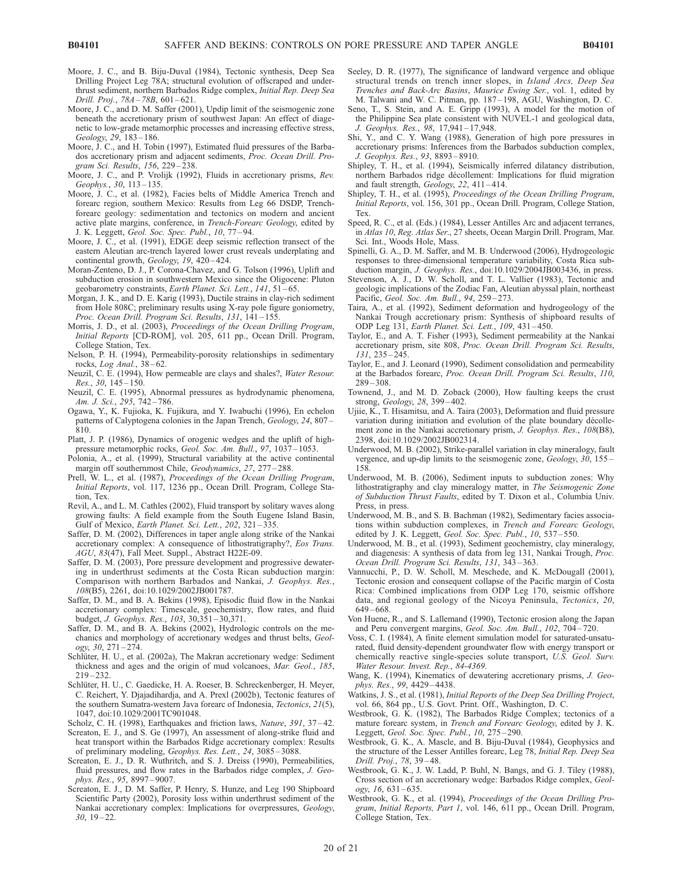- Moore, J. C., and B. Biju-Duval (1984), Tectonic synthesis, Deep Sea Drilling Project Leg 78A; structural evolution of offscraped and underthrust sediment, northern Barbados Ridge complex, Initial Rep. Deep Sea Drill. Proj., 78A-78B, 601-621.
- Moore, J. C., and D. M. Saffer (2001), Updip limit of the seismogenic zone beneath the accretionary prism of southwest Japan: An effect of diagenetic to low-grade metamorphic processes and increasing effective stress, Geology, 29, 183-186.
- Moore, J. C., and H. Tobin (1997), Estimated fluid pressures of the Barbados accretionary prism and adjacent sediments, Proc. Ocean Drill. Program Sci. Results, 156, 229 – 238.
- Moore, J. C., and P. Vrolijk (1992), Fluids in accretionary prisms, Rev. Geophys., 30, 113-135.
- Moore, J. C., et al. (1982), Facies belts of Middle America Trench and forearc region, southern Mexico: Results from Leg 66 DSDP, Trenchforearc geology: sedimentation and tectonics on modern and ancient active plate margins, conference, in Trench-Forearc Geology, edited by J. K. Leggett, Geol. Soc. Spec. Publ., 10, 77 – 94.
- Moore, J. C., et al. (1991), EDGE deep seismic reflection transect of the eastern Aleutian arc-trench layered lower crust reveals underplating and continental growth, Geology, 19, 420-424.
- Moran-Zenteno, D. J., P. Corona-Chavez, and G. Tolson (1996), Uplift and subduction erosion in southwestern Mexico since the Oligocene: Pluton geobarometry constraints, Earth Planet. Sci. Lett., 141, 51-65.
- Morgan, J. K., and D. E. Karig (1993), Ductile strains in clay-rich sediment from Hole 808C; preliminary results using X-ray pole figure goniometry, Proc. Ocean Drill. Program Sci. Results, 131, 141-155.
- Morris, J. D., et al. (2003), Proceedings of the Ocean Drilling Program, Initial Reports [CD-ROM], vol. 205, 611 pp., Ocean Drill. Program, College Station, Tex.
- Nelson, P. H. (1994), Permeability-porosity relationships in sedimentary rocks, Log Anal., 38-62.
- Neuzil, C. E. (1994), How permeable are clays and shales?, Water Resour. Res., 30, 145 – 150.
- Neuzil, C. E. (1995), Abnormal pressures as hydrodynamic phenomena, Am. J. Sci., 295, 742 – 786.
- Ogawa, Y., K. Fujioka, K. Fujikura, and Y. Iwabuchi (1996), En echelon patterns of Calyptogena colonies in the Japan Trench, Geology, 24, 807 – 810.
- Platt, J. P. (1986), Dynamics of orogenic wedges and the uplift of highpressure metamorphic rocks, Geol. Soc. Am. Bull., 97, 1037-1053.
- Polonia, A., et al. (1999), Structural variability at the active continental margin off southernmost Chile, Geodynamics, 27, 277 – 288.
- Prell, W. L., et al. (1987), Proceedings of the Ocean Drilling Program, Initial Reports, vol. 117, 1236 pp., Ocean Drill. Program, College Station, Tex.
- Revil, A., and L. M. Cathles (2002), Fluid transport by solitary waves along growing faults: A field example from the South Eugene Island Basin, Gulf of Mexico, Earth Planet. Sci. Lett., 202, 321-335.
- Saffer, D. M. (2002), Differences in taper angle along strike of the Nankai accretionary complex: A consequence of lithostratigraphy?, Eos Trans. AGU, 83(47), Fall Meet. Suppl., Abstract H22E-09.
- Saffer, D. M. (2003), Pore pressure development and progressive dewatering in underthrust sediments at the Costa Rican subduction margin: Comparison with northern Barbados and Nankai, J. Geophys. Res., 108(B5), 2261, doi:10.1029/2002JB001787.
- Saffer, D. M., and B. A. Bekins (1998), Episodic fluid flow in the Nankai accretionary complex: Timescale, geochemistry, flow rates, and fluid budget, J. Geophys. Res., 103, 30,351 – 30,371.
- Saffer, D. M., and B. A. Bekins (2002), Hydrologic controls on the mechanics and morphology of accretionary wedges and thrust belts, Geol $ogy, 30, 271 - 274.$
- Schlüter, H. U., et al. (2002a), The Makran accretionary wedge: Sediment thickness and ages and the origin of mud volcanoes, Mar. Geol., 185, 219 – 232.
- Schlüter, H. U., C. Gaedicke, H. A. Roeser, B. Schreckenberger, H. Meyer, C. Reichert, Y. Djajadihardja, and A. Prexl (2002b), Tectonic features of the southern Sumatra-western Java forearc of Indonesia, Tectonics, 21(5), 1047, doi:10.1029/2001TC901048.
- Scholz, C. H. (1998), Earthquakes and friction laws, Nature, 391, 37-42.
- Screaton, E. J., and S. Ge (1997), An assessment of along-strike fluid and heat transport within the Barbados Ridge accretionary complex: Results of preliminary modeling, Geophys. Res. Lett., 24, 3085 – 3088.
- Screaton, E. J., D. R. Wuthritch, and S. J. Dreiss (1990), Permeabilities, fluid pressures, and flow rates in the Barbados ridge complex, J. Geophys. Res., 95, 8997 – 9007.
- Screaton, E. J., D. M. Saffer, P. Henry, S. Hunze, and Leg 190 Shipboard Scientific Party (2002), Porosity loss within underthrust sediment of the Nankai accretionary complex: Implications for overpressures, Geology,  $30, 19 - 22.$
- Seeley, D. R. (1977), The significance of landward vergence and oblique structural trends on trench inner slopes, in Island Arcs, Deep Sea Trenches and Back-Arc Basins, Maurice Ewing Ser., vol. 1, edited by M. Talwani and W. C. Pitman, pp. 187 – 198, AGU, Washington, D. C.
- Seno, T., S. Stein, and A. E. Gripp (1993), A model for the motion of the Philippine Sea plate consistent with NUVEL-1 and geological data, J. Geophys. Res., 98, 17,941-17,948.
- Shi, Y., and C. Y. Wang (1988), Generation of high pore pressures in accretionary prisms: Inferences from the Barbados subduction complex, J. Geophys. Res., 93, 8893 – 8910.
- Shipley, T. H., et al. (1994), Seismically inferred dilatancy distribution, northern Barbados ridge décollement: Implications for fluid migration and fault strength, Geology, 22, 411-414.
- Shipley, T. H., et al. (1995), Proceedings of the Ocean Drilling Program, Initial Reports, vol. 156, 301 pp., Ocean Drill. Program, College Station, Tex.
- Speed, R. C., et al. (Eds.) (1984), Lesser Antilles Arc and adjacent terranes, in Atlas 10, Reg. Atlas Ser., 27 sheets, Ocean Margin Drill. Program, Mar. Sci. Int., Woods Hole, Mass.
- Spinelli, G. A., D. M. Saffer, and M. B. Underwood (2006), Hydrogeologic responses to three-dimensional temperature variability, Costa Rica subduction margin, J. Geophys. Res., doi:10.1029/2004JB003436, in press.
- Stevenson, A. J., D. W. Scholl, and T. L. Vallier (1983), Tectonic and geologic implications of the Zodiac Fan, Aleutian abyssal plain, northeast Pacific, Geol. Soc. Am. Bull., 94, 259-273.
- Taira, A., et al. (1992), Sediment deformation and hydrogeology of the Nankai Trough accretionary prism: Synthesis of shipboard results of ODP Leg 131, Earth Planet. Sci. Lett., 109, 431 – 450.
- Taylor, E., and A. T. Fisher (1993), Sediment permeability at the Nankai accretionary prism, site 808, Proc. Ocean Drill. Program Sci. Results, 131, 235 – 245.
- Taylor, E., and J. Leonard (1990), Sediment consolidation and permeability at the Barbados forearc, Proc. Ocean Drill. Program Sci. Results, 110,  $289 - 308.$
- Townend, J., and M. D. Zoback (2000), How faulting keeps the crust strong, Geology, 28, 399 – 402.
- Ujiie, K., T. Hisamitsu, and A. Taira (2003), Deformation and fluid pressure variation during initiation and evolution of the plate boundary décollement zone in the Nankai accretionary prism, J. Geophys. Res., 108(B8), 2398, doi:10.1029/2002JB002314
- Underwood, M. B. (2002), Strike-parallel variation in clay mineralogy, fault vergence, and up-dip limits to the seismogenic zone, Geology, 30, 155-158.
- Underwood, M. B. (2006), Sediment inputs to subduction zones: Why lithostratigraphy and clay mineralogy matter, in The Seismogenic Zone of Subduction Thrust Faults, edited by T. Dixon et al., Columbia Univ. Press, in press.
- Underwood, M. B., and S. B. Bachman (1982), Sedimentary facies associations within subduction complexes, in Trench and Forearc Geology, edited by J. K. Leggett, Geol. Soc. Spec. Publ., 10, 537-550.
- Underwood, M. B., et al. (1993), Sediment geochemistry, clay mineralogy, and diagenesis: A synthesis of data from leg 131, Nankai Trough, Proc. Ocean Drill. Program Sci. Results, 131, 343 – 363.
- Vannucchi, P., D. W. Scholl, M. Meschede, and K. McDougall (2001), Tectonic erosion and consequent collapse of the Pacific margin of Costa Rica: Combined implications from ODP Leg 170, seismic offshore data, and regional geology of the Nicoya Peninsula, Tectonics, 20,  $649 - 668.$
- Von Huene, R., and S. Lallemand (1990), Tectonic erosion along the Japan and Peru convergent margins, Geol. Soc. Am. Bull., 102, 704 – 720.
- Voss, C. I. (1984), A finite element simulation model for saturated-unsaturated, fluid density-dependent groundwater flow with energy transport or chemically reactive single-species solute transport, U.S. Geol. Surv. Water Resour. Invest. Rep., 84-4369.
- Wang, K. (1994), Kinematics of dewatering accretionary prisms, J. Geophys. Res., 99, 4429 – 4438.
- Watkins, J. S., et al. (1981), Initial Reports of the Deep Sea Drilling Project, vol. 66, 864 pp., U.S. Govt. Print. Off., Washington, D. C.
- Westbrook, G. K. (1982), The Barbados Ridge Complex; tectonics of a mature forearc system, in Trench and Forearc Geology, edited by J. K. Leggett, Geol. Soc. Spec. Publ., 10, 275 – 290.
- Westbrook, G. K., A. Mascle, and B. Biju-Duval (1984), Geophysics and the structure of the Lesser Antilles forearc, Leg 78, Initial Rep. Deep Sea Drill. Proj., 78, 39 – 48.
- Westbrook, G. K., J. W. Ladd, P. Buhl, N. Bangs, and G. J. Tiley (1988), Cross section of an accretionary wedge: Barbados Ridge complex, Geol $oev, 16, 631 - 635.$
- Westbrook, G. K., et al. (1994), Proceedings of the Ocean Drilling Program, Initial Reports, Part 1, vol. 146, 611 pp., Ocean Drill. Program, College Station, Tex.